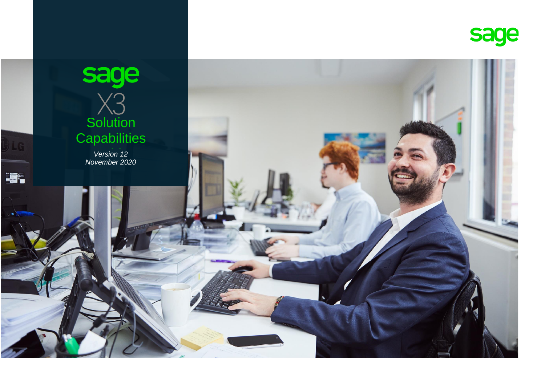

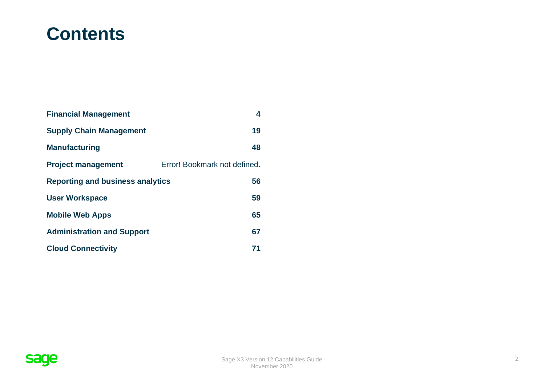# **Contents**

| <b>Financial Management</b>             | 4                            |
|-----------------------------------------|------------------------------|
| <b>Supply Chain Management</b>          | 19                           |
| <b>Manufacturing</b>                    | 48                           |
| <b>Project management</b>               | Error! Bookmark not defined. |
| <b>Reporting and business analytics</b> | 56                           |
| <b>User Workspace</b>                   | 59                           |
| <b>Mobile Web Apps</b>                  | 65                           |
| <b>Administration and Support</b>       | 67                           |
| <b>Cloud Connectivity</b>               | 71                           |

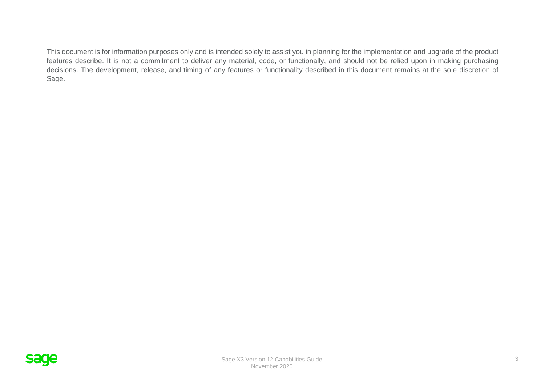This document is for information purposes only and is intended solely to assist you in planning for the implementation and upgrade of the product features describe. It is not a commitment to deliver any material, code, or functionally, and should not be relied upon in making purchasing decisions. The development, release, and timing of any features or functionality described in this document remains at the sole discretion of Sage.

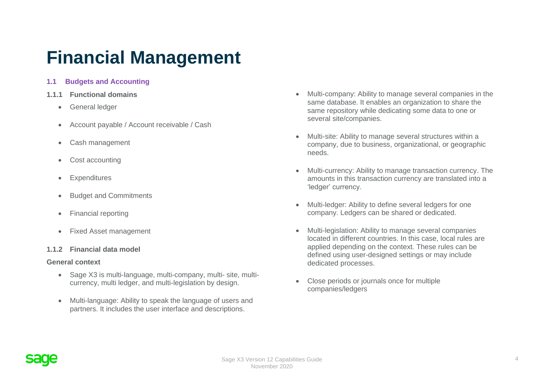# <span id="page-3-0"></span>**Financial Management**

## **1.1 Budgets and Accounting**

- **1.1.1 Functional domains**
	- General ledger
	- Account payable / Account receivable / Cash
	- Cash management
	- Cost accounting
	- Expenditures
	- Budget and Commitments
	- Financial reporting
	- Fixed Asset management

## **1.1.2 Financial data model**

#### **General context**

- Sage X3 is multi-language, multi-company, multi- site, multicurrency, multi ledger, and multi-legislation by design.
- Multi-language: Ability to speak the language of users and partners. It includes the user interface and descriptions.
- Multi-company: Ability to manage several companies in the same database. It enables an organization to share the same repository while dedicating some data to one or several site/companies.
- Multi-site: Ability to manage several structures within a company, due to business, organizational, or geographic needs.
- Multi-currency: Ability to manage transaction currency. The amounts in this transaction currency are translated into a 'ledger' currency.
- Multi-ledger: Ability to define several ledgers for one company. Ledgers can be shared or dedicated.
- Multi-legislation: Ability to manage several companies located in different countries. In this case, local rules are applied depending on the context. These rules can be defined using user-designed settings or may include dedicated processes.
- Close periods or journals once for multiple companies/ledgers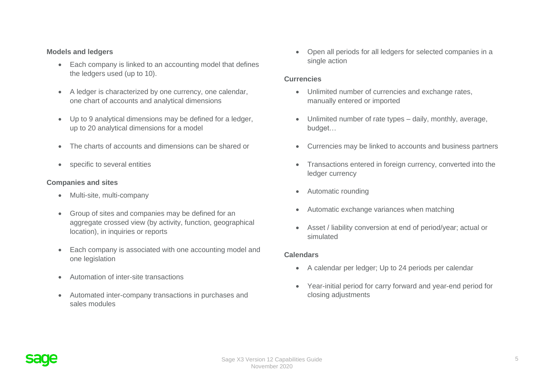#### **Models and ledgers**

- Each company is linked to an accounting model that defines the ledgers used (up to 10).
- A ledger is characterized by one currency, one calendar, one chart of accounts and analytical dimensions
- Up to 9 analytical dimensions may be defined for a ledger, up to 20 analytical dimensions for a model
- The charts of accounts and dimensions can be shared or
- specific to several entities

#### **Companies and sites**

- Multi-site, multi-company
- Group of sites and companies may be defined for an aggregate crossed view (by activity, function, geographical location), in inquiries or reports
- Each company is associated with one accounting model and one legislation
- Automation of inter-site transactions
- Automated inter-company transactions in purchases and sales modules

• Open all periods for all ledgers for selected companies in a single action

#### **Currencies**

- Unlimited number of currencies and exchange rates, manually entered or imported
- Unlimited number of rate types daily, monthly, average, budget…
- Currencies may be linked to accounts and business partners
- Transactions entered in foreign currency, converted into the ledger currency
- Automatic rounding
- Automatic exchange variances when matching
- Asset / liability conversion at end of period/year; actual or simulated

#### **Calendars**

- A calendar per ledger; Up to 24 periods per calendar
- Year-initial period for carry forward and year-end period for closing adjustments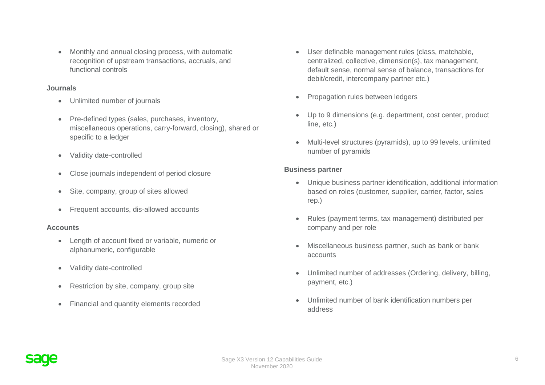• Monthly and annual closing process, with automatic recognition of upstream transactions, accruals, and functional controls

#### **Journals**

- Unlimited number of journals
- Pre-defined types (sales, purchases, inventory, miscellaneous operations, carry-forward, closing), shared or specific to a ledger
- Validity date-controlled
- Close journals independent of period closure
- Site, company, group of sites allowed
- Frequent accounts, dis-allowed accounts

## **Accounts**

- Length of account fixed or variable, numeric or alphanumeric, configurable
- Validity date-controlled
- Restriction by site, company, group site
- Financial and quantity elements recorded
- User definable management rules (class, matchable, centralized, collective, dimension(s), tax management, default sense, normal sense of balance, transactions for debit/credit, intercompany partner etc.)
- Propagation rules between ledgers
- Up to 9 dimensions (e.g. department, cost center, product line, etc.)
- Multi-level structures (pyramids), up to 99 levels, unlimited number of pyramids

## **Business partner**

- Unique business partner identification, additional information based on roles (customer, supplier, carrier, factor, sales rep.)
- Rules (payment terms, tax management) distributed per company and per role
- Miscellaneous business partner, such as bank or bank accounts
- Unlimited number of addresses (Ordering, delivery, billing, payment, etc.)
- Unlimited number of bank identification numbers per address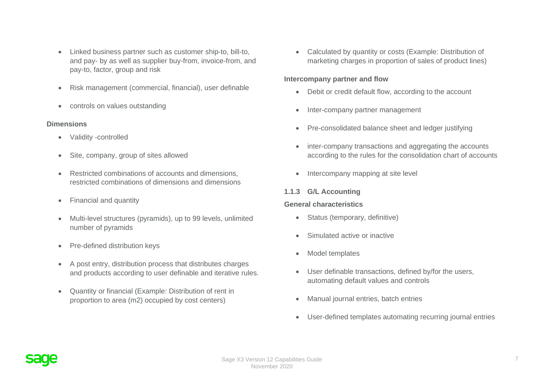- Linked business partner such as customer ship-to, bill-to, and pay- by as well as supplier buy-from, invoice-from, and pay-to, factor, group and risk
- Risk management (commercial, financial), user definable
- controls on values outstanding

## **Dimensions**

- Validity -controlled
- Site, company, group of sites allowed
- Restricted combinations of accounts and dimensions, restricted combinations of dimensions and dimensions
- Financial and quantity
- Multi-level structures (pyramids), up to 99 levels, unlimited number of pyramids
- Pre-defined distribution keys
- A post entry, distribution process that distributes charges and products according to user definable and iterative rules.
- Quantity or financial (Example: Distribution of rent in proportion to area (m2) occupied by cost centers)

• Calculated by quantity or costs (Example: Distribution of marketing charges in proportion of sales of product lines)

#### **Intercompany partner and flow**

- Debit or credit default flow, according to the account
- Inter-company partner management
- Pre-consolidated balance sheet and ledger justifying
- inter-company transactions and aggregating the accounts according to the rules for the consolidation chart of accounts
- Intercompany mapping at site level

## **1.1.3 G/L Accounting**

## **General characteristics**

- Status (temporary, definitive)
- Simulated active or inactive
- Model templates
- User definable transactions, defined by/for the users, automating default values and controls
- Manual journal entries, batch entries
- User-defined templates automating recurring journal entries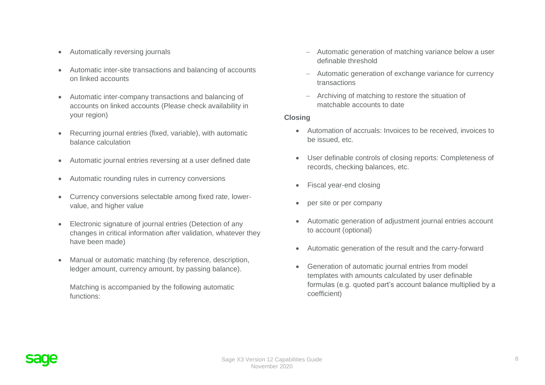- Automatically reversing journals
- Automatic inter-site transactions and balancing of accounts on linked accounts
- Automatic inter-company transactions and balancing of accounts on linked accounts (Please check availability in your region)
- Recurring journal entries (fixed, variable), with automatic balance calculation
- Automatic journal entries reversing at a user defined date
- Automatic rounding rules in currency conversions
- Currency conversions selectable among fixed rate, lowervalue, and higher value
- Electronic signature of journal entries (Detection of any changes in critical information after validation, whatever they have been made)
- Manual or automatic matching (by reference, description, ledger amount, currency amount, by passing balance).

Matching is accompanied by the following automatic functions:

- − Automatic generation of matching variance below a user definable threshold
- Automatic generation of exchange variance for currency transactions
- − Archiving of matching to restore the situation of matchable accounts to date

#### **Closing**

- Automation of accruals: Invoices to be received, invoices to be issued, etc.
- User definable controls of closing reports: Completeness of records, checking balances, etc.
- Fiscal year-end closing
- per site or per company
- Automatic generation of adjustment journal entries account to account (optional)
- Automatic generation of the result and the carry-forward
- Generation of automatic journal entries from model templates with amounts calculated by user definable formulas (e.g. quoted part's account balance multiplied by a coefficient)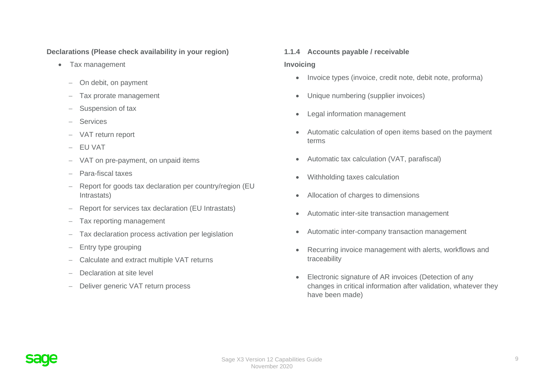## **Declarations (Please check availability in your region)**

- Tax management
	- − On debit, on payment
	- − Tax prorate management
	- − Suspension of tax
	- − Services
	- − VAT return report
	- − EU VAT
	- − VAT on pre-payment, on unpaid items
	- − Para-fiscal taxes
	- − Report for goods tax declaration per country/region (EU Intrastats)
	- − Report for services tax declaration (EU Intrastats)
	- − Tax reporting management
	- − Tax declaration process activation per legislation
	- − Entry type grouping
	- − Calculate and extract multiple VAT returns
	- Declaration at site level
	- − Deliver generic VAT return process

## **1.1.4 Accounts payable / receivable**

#### **Invoicing**

- Invoice types (invoice, credit note, debit note, proforma)
- Unique numbering (supplier invoices)
- Legal information management
- Automatic calculation of open items based on the payment terms
- Automatic tax calculation (VAT, parafiscal)
- Withholding taxes calculation
- Allocation of charges to dimensions
- Automatic inter-site transaction management
- Automatic inter-company transaction management
- Recurring invoice management with alerts, workflows and traceability
- Electronic signature of AR invoices (Detection of any changes in critical information after validation, whatever they have been made)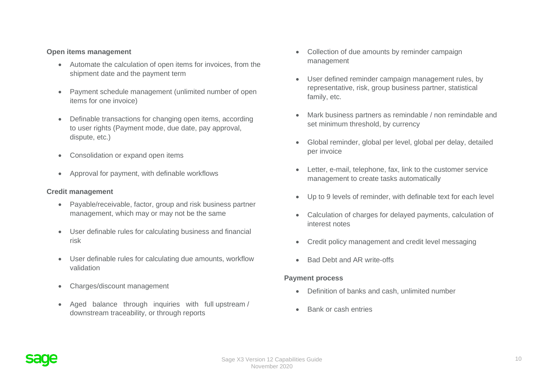#### **Open items management**

- Automate the calculation of open items for invoices, from the shipment date and the payment term
- Payment schedule management (unlimited number of open items for one invoice)
- Definable transactions for changing open items, according to user rights (Payment mode, due date, pay approval, dispute, etc.)
- Consolidation or expand open items
- Approval for payment, with definable workflows

#### **Credit management**

- Payable/receivable, factor, group and risk business partner management, which may or may not be the same
- User definable rules for calculating business and financial risk
- User definable rules for calculating due amounts, workflow validation
- Charges/discount management
- Aged balance through inquiries with full upstream / downstream traceability, or through reports
- Collection of due amounts by reminder campaign management
- User defined reminder campaign management rules, by representative, risk, group business partner, statistical family, etc.
- Mark business partners as remindable / non remindable and set minimum threshold, by currency
- Global reminder, global per level, global per delay, detailed per invoice
- Letter, e-mail, telephone, fax, link to the customer service management to create tasks automatically
- Up to 9 levels of reminder, with definable text for each level
- Calculation of charges for delayed payments, calculation of interest notes
- Credit policy management and credit level messaging
- Bad Debt and AR write-offs

#### **Payment process**

- Definition of banks and cash, unlimited number
- Bank or cash entries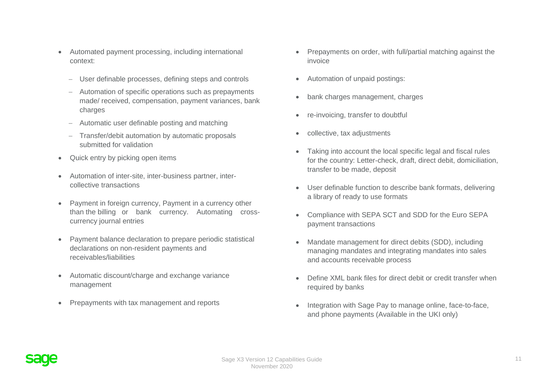- Automated payment processing, including international context:
	- − User definable processes, defining steps and controls
	- − Automation of specific operations such as prepayments made/ received, compensation, payment variances, bank charges
	- − Automatic user definable posting and matching
	- − Transfer/debit automation by automatic proposals submitted for validation
- Quick entry by picking open items
- Automation of inter-site, inter-business partner, intercollective transactions
- Payment in foreign currency, Payment in a currency other than the billing or bank currency. Automating crosscurrency journal entries
- Payment balance declaration to prepare periodic statistical declarations on non-resident payments and receivables/liabilities
- Automatic discount/charge and exchange variance management
- Prepayments with tax management and reports
- Prepayments on order, with full/partial matching against the invoice
- Automation of unpaid postings:
- bank charges management, charges
- re-invoicing, transfer to doubtful
- collective, tax adjustments
- Taking into account the local specific legal and fiscal rules for the country: Letter-check, draft, direct debit, domiciliation, transfer to be made, deposit
- User definable function to describe bank formats, delivering a library of ready to use formats
- Compliance with SEPA SCT and SDD for the Euro SEPA payment transactions
- Mandate management for direct debits (SDD), including managing mandates and integrating mandates into sales and accounts receivable process
- Define XML bank files for direct debit or credit transfer when required by banks
- Integration with Sage Pay to manage online, face-to-face, and phone payments (Available in the UKI only)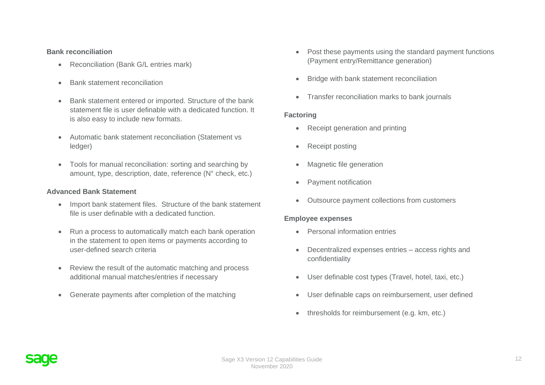#### **Bank reconciliation**

- Reconciliation (Bank G/L entries mark)
- Bank statement reconciliation
- Bank statement entered or imported. Structure of the bank statement file is user definable with a dedicated function. It is also easy to include new formats.
- Automatic bank statement reconciliation (Statement vs ledger)
- Tools for manual reconciliation: sorting and searching by amount, type, description, date, reference (N° check, etc.)

#### **Advanced Bank Statement**

- Import bank statement files. Structure of the bank statement file is user definable with a dedicated function.
- Run a process to automatically match each bank operation in the statement to open items or payments according to user-defined search criteria
- Review the result of the automatic matching and process additional manual matches/entries if necessary
- Generate payments after completion of the matching
- Post these payments using the standard payment functions (Payment entry/Remittance generation)
- Bridge with bank statement reconciliation
- Transfer reconciliation marks to bank journals

## **Factoring**

- Receipt generation and printing
- Receipt posting
- Magnetic file generation
- Payment notification
- Outsource payment collections from customers

#### **Employee expenses**

- Personal information entries
- Decentralized expenses entries access rights and confidentiality
- User definable cost types (Travel, hotel, taxi, etc.)
- User definable caps on reimbursement, user defined
- thresholds for reimbursement (e.g. km, etc.)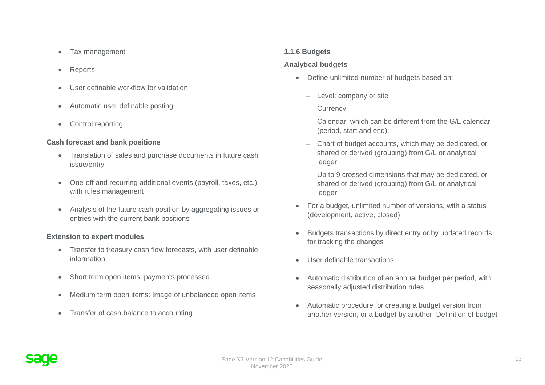- Tax management
- Reports
- User definable workflow for validation
- Automatic user definable posting
- Control reporting

## **Cash forecast and bank positions**

- Translation of sales and purchase documents in future cash issue/entry
- One-off and recurring additional events (payroll, taxes, etc.) with rules management
- Analysis of the future cash position by aggregating issues or entries with the current bank positions

## **Extension to expert modules**

- Transfer to treasury cash flow forecasts, with user definable information
- Short term open items: payments processed
- Medium term open items: Image of unbalanced open items
- Transfer of cash balance to accounting

## **1.1.6 Budgets**

## **Analytical budgets**

- Define unlimited number of budgets based on:
	- − Level: company or site
	- − Currency
	- − Calendar, which can be different from the G/L calendar (period, start and end).
	- − Chart of budget accounts, which may be dedicated, or shared or derived (grouping) from G/L or analytical ledger
	- − Up to 9 crossed dimensions that may be dedicated, or shared or derived (grouping) from G/L or analytical ledger
- For a budget, unlimited number of versions, with a status (development, active, closed)
- Budgets transactions by direct entry or by updated records for tracking the changes
- User definable transactions
- Automatic distribution of an annual budget per period, with seasonally adjusted distribution rules
- Automatic procedure for creating a budget version from another version, or a budget by another. Definition of budget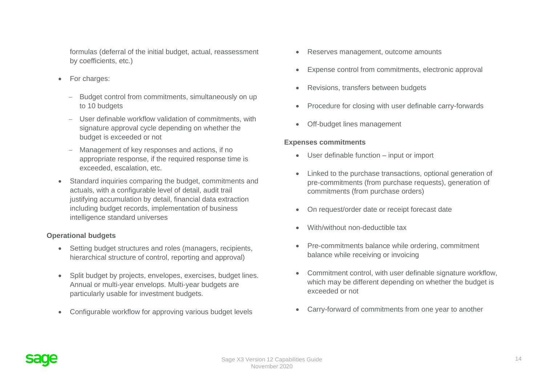formulas (deferral of the initial budget, actual, reassessment by coefficients, etc.)

- For charges:
	- − Budget control from commitments, simultaneously on up to 10 budgets
	- − User definable workflow validation of commitments, with signature approval cycle depending on whether the budget is exceeded or not
	- − Management of key responses and actions, if no appropriate response, if the required response time is exceeded, escalation, etc.
- Standard inquiries comparing the budget, commitments and actuals, with a configurable level of detail, audit trail justifying accumulation by detail, financial data extraction including budget records, implementation of business intelligence standard universes

## **Operational budgets**

- Setting budget structures and roles (managers, recipients, hierarchical structure of control, reporting and approval)
- Split budget by projects, envelopes, exercises, budget lines. Annual or multi-year envelops. Multi-year budgets are particularly usable for investment budgets.
- Configurable workflow for approving various budget levels
- Reserves management, outcome amounts
- Expense control from commitments, electronic approval
- Revisions, transfers between budgets
- Procedure for closing with user definable carry-forwards
- Off-budget lines management

## **Expenses commitments**

- User definable function input or import
- Linked to the purchase transactions, optional generation of pre-commitments (from purchase requests), generation of commitments (from purchase orders)
- On request/order date or receipt forecast date
- With/without non-deductible tax
- Pre-commitments balance while ordering, commitment balance while receiving or invoicing
- Commitment control, with user definable signature workflow, which may be different depending on whether the budget is exceeded or not
- Carry-forward of commitments from one year to another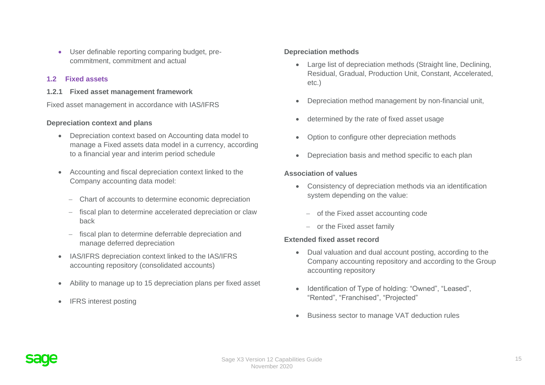• User definable reporting comparing budget, precommitment, commitment and actual

### **1.2 Fixed assets**

**1.2.1 Fixed asset management framework**

Fixed asset management in accordance with IAS/IFRS

#### **Depreciation context and plans**

- Depreciation context based on Accounting data model to manage a Fixed assets data model in a currency, according to a financial year and interim period schedule
- Accounting and fiscal depreciation context linked to the Company accounting data model:
	- − Chart of accounts to determine economic depreciation
	- − fiscal plan to determine accelerated depreciation or claw back
	- − fiscal plan to determine deferrable depreciation and manage deferred depreciation
- IAS/IFRS depreciation context linked to the IAS/IFRS accounting repository (consolidated accounts)
- Ability to manage up to 15 depreciation plans per fixed asset
- IFRS interest posting

## **Depreciation methods**

- Large list of depreciation methods (Straight line, Declining, Residual, Gradual, Production Unit, Constant, Accelerated, etc.)
- Depreciation method management by non-financial unit,
- determined by the rate of fixed asset usage
- Option to configure other depreciation methods
- Depreciation basis and method specific to each plan

#### **Association of values**

- Consistency of depreciation methods via an identification system depending on the value:
	- − of the Fixed asset accounting code
	- − or the Fixed asset family

#### **Extended fixed asset record**

- Dual valuation and dual account posting, according to the Company accounting repository and according to the Group accounting repository
- Identification of Type of holding: "Owned", "Leased", "Rented", "Franchised", "Projected"
- Business sector to manage VAT deduction rules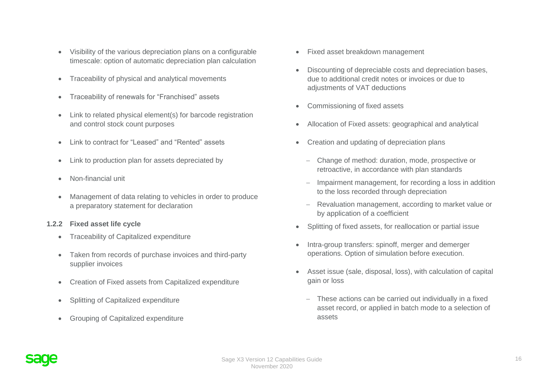- Visibility of the various depreciation plans on a configurable timescale: option of automatic depreciation plan calculation
- Traceability of physical and analytical movements
- Traceability of renewals for "Franchised" assets
- Link to related physical element(s) for barcode registration and control stock count purposes
- Link to contract for "Leased" and "Rented" assets
- Link to production plan for assets depreciated by
- Non-financial unit
- Management of data relating to vehicles in order to produce a preparatory statement for declaration

#### **1.2.2 Fixed asset life cycle**

- Traceability of Capitalized expenditure
- Taken from records of purchase invoices and third-party supplier invoices
- Creation of Fixed assets from Capitalized expenditure
- Splitting of Capitalized expenditure
- Grouping of Capitalized expenditure
- Fixed asset breakdown management
- Discounting of depreciable costs and depreciation bases, due to additional credit notes or invoices or due to adjustments of VAT deductions
- Commissioning of fixed assets
- Allocation of Fixed assets: geographical and analytical
- Creation and updating of depreciation plans
	- − Change of method: duration, mode, prospective or retroactive, in accordance with plan standards
	- − Impairment management, for recording a loss in addition to the loss recorded through depreciation
	- − Revaluation management, according to market value or by application of a coefficient
- Splitting of fixed assets, for reallocation or partial issue
- Intra-group transfers: spinoff, merger and demerger operations. Option of simulation before execution.
- Asset issue (sale, disposal, loss), with calculation of capital gain or loss
	- − These actions can be carried out individually in a fixed asset record, or applied in batch mode to a selection of assets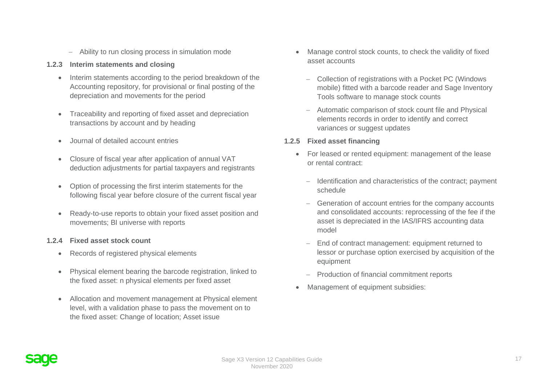- − Ability to run closing process in simulation mode
- **1.2.3 Interim statements and closing**
	- Interim statements according to the period breakdown of the Accounting repository, for provisional or final posting of the depreciation and movements for the period
	- Traceability and reporting of fixed asset and depreciation transactions by account and by heading
	- Journal of detailed account entries
	- Closure of fiscal year after application of annual VAT deduction adjustments for partial taxpayers and registrants
	- Option of processing the first interim statements for the following fiscal year before closure of the current fiscal year
	- Ready-to-use reports to obtain your fixed asset position and movements; BI universe with reports

## **1.2.4 Fixed asset stock count**

- Records of registered physical elements
- Physical element bearing the barcode registration, linked to the fixed asset: n physical elements per fixed asset
- Allocation and movement management at Physical element level, with a validation phase to pass the movement on to the fixed asset: Change of location; Asset issue
- Manage control stock counts, to check the validity of fixed asset accounts
	- − Collection of registrations with a Pocket PC (Windows mobile) fitted with a barcode reader and Sage Inventory Tools software to manage stock counts
	- − Automatic comparison of stock count file and Physical elements records in order to identify and correct variances or suggest updates

## **1.2.5 Fixed asset financing**

- For leased or rented equipment: management of the lease or rental contract:
	- − Identification and characteristics of the contract; payment schedule
	- Generation of account entries for the company accounts and consolidated accounts: reprocessing of the fee if the asset is depreciated in the IAS/IFRS accounting data model
	- End of contract management: equipment returned to lessor or purchase option exercised by acquisition of the equipment
	- − Production of financial commitment reports
- Management of equipment subsidies: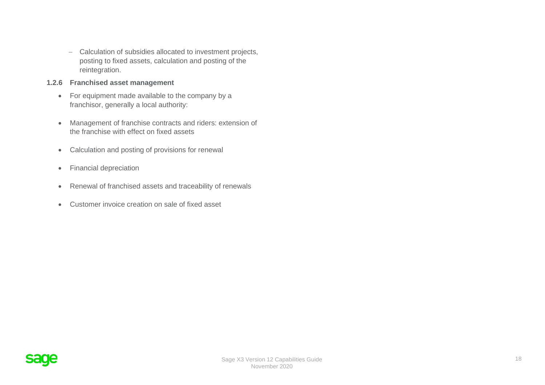− Calculation of subsidies allocated to investment projects, posting to fixed assets, calculation and posting of the reintegration.

#### **1.2.6 Franchised asset management**

- For equipment made available to the company by a franchisor, generally a local authority:
- Management of franchise contracts and riders: extension of the franchise with effect on fixed assets
- Calculation and posting of provisions for renewal
- Financial depreciation
- Renewal of franchised assets and traceability of renewals
- Customer invoice creation on sale of fixed asset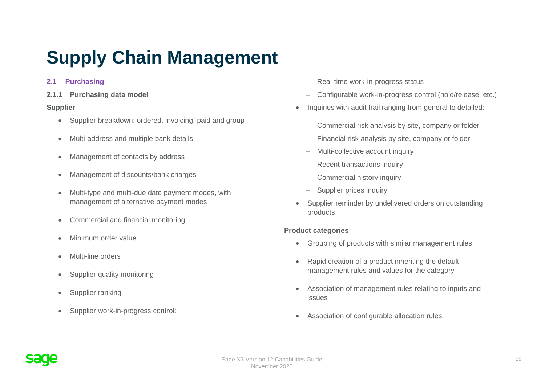# <span id="page-18-0"></span>**Supply Chain Management**

## **2.1 Purchasing**

**2.1.1 Purchasing data model**

## **Supplier**

- Supplier breakdown: ordered, invoicing, paid and group
- Multi-address and multiple bank details
- Management of contacts by address
- Management of discounts/bank charges
- Multi-type and multi-due date payment modes, with management of alternative payment modes
- Commercial and financial monitoring
- Minimum order value
- Multi-line orders
- Supplier quality monitoring
- Supplier ranking
- Supplier work-in-progress control:
- − Real-time work-in-progress status
- − Configurable work-in-progress control (hold/release, etc.)
- Inquiries with audit trail ranging from general to detailed:
	- − Commercial risk analysis by site, company or folder
	- Financial risk analysis by site, company or folder
	- − Multi-collective account inquiry
	- Recent transactions inquiry
	- − Commercial history inquiry
	- − Supplier prices inquiry
- Supplier reminder by undelivered orders on outstanding products

## **Product categories**

- Grouping of products with similar management rules
- Rapid creation of a product inheriting the default management rules and values for the category
- Association of management rules relating to inputs and issues
- Association of configurable allocation rules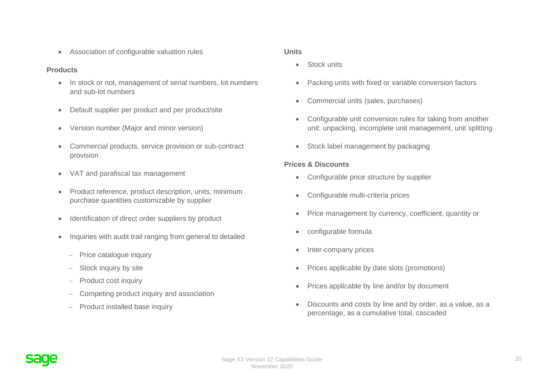• Association of configurable valuation rules

# **Products**

- In stock or not, management of serial numbers, lot numbers and sub-lot numbers
- Default supplier per product and per product/site
- Version number (Major and minor version)
- Commercial products, service provision or sub-contract provision
- VAT and parafiscal tax management
- Product reference, product description, units, minimum purchase quantities customizable by supplier
- Identification of direct order suppliers by product
- Inquiries with audit trail ranging from general to detailed
	- − Price catalogue inquiry
	- − Stock inquiry by site
	- − Product cost inquiry
	- − Competing product inquiry and association
	- − Product installed base inquiry

## **Units**

- Stock units
- Packing units with fixed or variable conversion factors
- Commercial units (sales, purchases)
- Configurable unit conversion rules for taking from another unit: unpacking, incomplete unit management, unit splitting
- Stock label management by packaging

# **Prices & Discounts**

- Configurable price structure by supplier
- Configurable multi-criteria prices
- Price management by currency, coefficient, quantity or
- configurable formula
- Inter-company prices
- Prices applicable by date slots (promotions)
- Prices applicable by line and/or by document
- Discounts and costs by line and by order, as a value, as a percentage, as a cumulative total, cascaded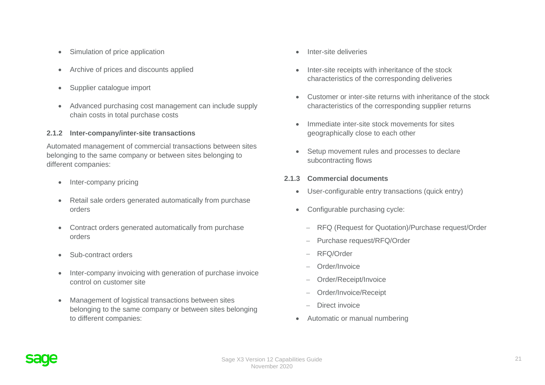- Simulation of price application
- Archive of prices and discounts applied
- Supplier catalogue import
- Advanced purchasing cost management can include supply chain costs in total purchase costs

## **2.1.2 Inter-company/inter-site transactions**

Automated management of commercial transactions between sites belonging to the same company or between sites belonging to different companies:

- Inter-company pricing
- Retail sale orders generated automatically from purchase orders
- Contract orders generated automatically from purchase orders
- Sub-contract orders
- Inter-company invoicing with generation of purchase invoice control on customer site
- Management of logistical transactions between sites belonging to the same company or between sites belonging to different companies:
- Inter-site deliveries
- Inter-site receipts with inheritance of the stock characteristics of the corresponding deliveries
- Customer or inter-site returns with inheritance of the stock characteristics of the corresponding supplier returns
- Immediate inter-site stock movements for sites geographically close to each other
- Setup movement rules and processes to declare subcontracting flows
- **2.1.3 Commercial documents**
	- User-configurable entry transactions (quick entry)
	- Configurable purchasing cycle:
		- − RFQ (Request for Quotation)/Purchase request/Order
		- − Purchase request/RFQ/Order
		- − RFQ/Order
		- − Order/Invoice
		- − Order/Receipt/Invoice
		- − Order/Invoice/Receipt
		- Direct invoice
	- Automatic or manual numbering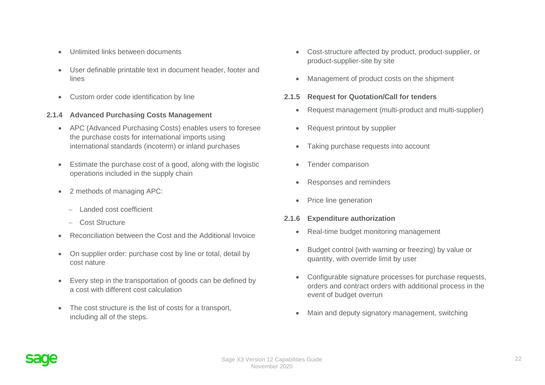- Unlimited links between documents
- User definable printable text in document header, footer and lines
- Custom order code identification by line

## **2.1.4 Advanced Purchasing Costs Management**

- APC (Advanced Purchasing Costs) enables users to foresee the purchase costs for international imports using international standards (incoterm) or inland purchases
- Estimate the purchase cost of a good, along with the logistic operations included in the supply chain
- 2 methods of managing APC:
	- − Landed cost coefficient
	- − Cost Structure
- Reconciliation between the Cost and the Additional Invoice
- On supplier order: purchase cost by line or total, detail by cost nature
- Every step in the transportation of goods can be defined by a cost with different cost calculation
- The cost structure is the list of costs for a transport, including all of the steps.
- Cost-structure affected by product, product-supplier, or product-supplier-site by site
- Management of product costs on the shipment

## **2.1.5 Request for Quotation/Call for tenders**

- Request management (multi-product and multi-supplier)
- Request printout by supplier
- Taking purchase requests into account
- Tender comparison
- Responses and reminders
- Price line generation
- **2.1.6 Expenditure authorization**
	- Real-time budget monitoring management
	- Budget control (with warning or freezing) by value or quantity, with override limit by user
	- Configurable signature processes for purchase requests, orders and contract orders with additional process in the event of budget overrun
	- Main and deputy signatory management, switching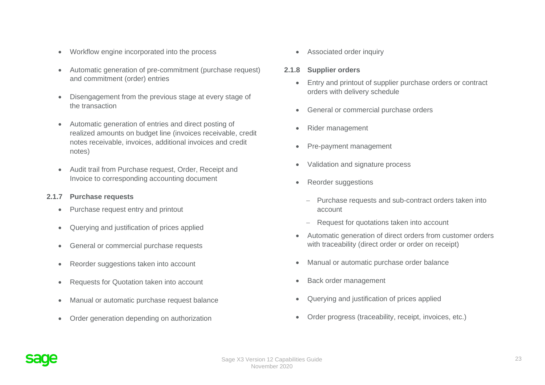- Workflow engine incorporated into the process
- Automatic generation of pre-commitment (purchase request) and commitment (order) entries
- Disengagement from the previous stage at every stage of the transaction
- Automatic generation of entries and direct posting of realized amounts on budget line (invoices receivable, credit notes receivable, invoices, additional invoices and credit notes)
- Audit trail from Purchase request, Order, Receipt and Invoice to corresponding accounting document

#### **2.1.7 Purchase requests**

- Purchase request entry and printout
- Querying and justification of prices applied
- General or commercial purchase requests
- Reorder suggestions taken into account
- Requests for Quotation taken into account
- Manual or automatic purchase request balance
- Order generation depending on authorization

• Associated order inquiry

### **2.1.8 Supplier orders**

- Entry and printout of supplier purchase orders or contract orders with delivery schedule
- General or commercial purchase orders
- Rider management
- Pre-payment management
- Validation and signature process
- Reorder suggestions
	- − Purchase requests and sub-contract orders taken into account
	- Request for quotations taken into account
- Automatic generation of direct orders from customer orders with traceability (direct order or order on receipt)
- Manual or automatic purchase order balance
- Back order management
- Querying and justification of prices applied
- Order progress (traceability, receipt, invoices, etc.)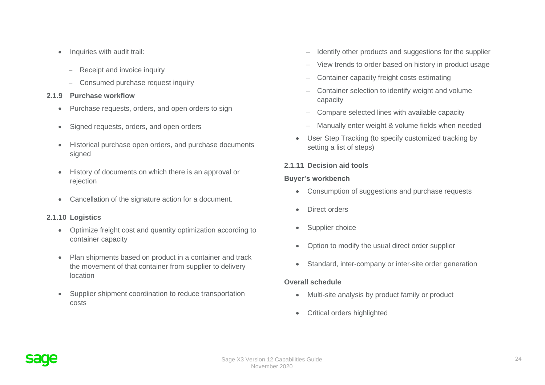- Inquiries with audit trail:
	- − Receipt and invoice inquiry
	- − Consumed purchase request inquiry

#### **2.1.9 Purchase workflow**

- Purchase requests, orders, and open orders to sign
- Signed requests, orders, and open orders
- Historical purchase open orders, and purchase documents signed
- History of documents on which there is an approval or rejection
- Cancellation of the signature action for a document.

## **2.1.10 Logistics**

- Optimize freight cost and quantity optimization according to container capacity
- Plan shipments based on product in a container and track the movement of that container from supplier to delivery location
- Supplier shipment coordination to reduce transportation costs
- − Identify other products and suggestions for the supplier
- − View trends to order based on history in product usage
- − Container capacity freight costs estimating
- − Container selection to identify weight and volume capacity
- − Compare selected lines with available capacity
- − Manually enter weight & volume fields when needed
- User Step Tracking (to specify customized tracking by setting a list of steps)

## **2.1.11 Decision aid tools**

## **Buyer's workbench**

- Consumption of suggestions and purchase requests
- Direct orders
- Supplier choice
- Option to modify the usual direct order supplier
- Standard, inter-company or inter-site order generation

## **Overall schedule**

- Multi-site analysis by product family or product
- Critical orders highlighted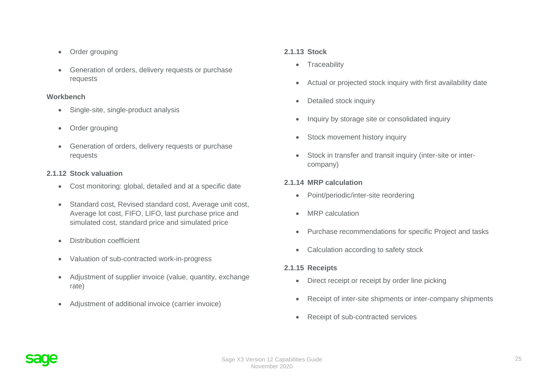- Order grouping
- Generation of orders, delivery requests or purchase requests

## **Workbench**

- Single-site, single-product analysis
- Order grouping
- Generation of orders, delivery requests or purchase requests

# **2.1.12 Stock valuation**

- Cost monitoring: global, detailed and at a specific date
- Standard cost, Revised standard cost, Average unit cost, Average lot cost, FIFO, LIFO, last purchase price and simulated cost, standard price and simulated price
- Distribution coefficient
- Valuation of sub-contracted work-in-progress
- Adjustment of supplier invoice (value, quantity, exchange rate)
- Adjustment of additional invoice (carrier invoice)

# **2.1.13 Stock**

- Traceability
- Actual or projected stock inquiry with first availability date
- Detailed stock inquiry
- Inquiry by storage site or consolidated inquiry
- Stock movement history inquiry
- Stock in transfer and transit inquiry (inter-site or intercompany)

# **2.1.14 MRP calculation**

- Point/periodic/inter-site reordering
- MRP calculation
- Purchase recommendations for specific Project and tasks
- Calculation according to safety stock

# **2.1.15 Receipts**

- Direct receipt or receipt by order line picking
- Receipt of inter-site shipments or inter-company shipments
- Receipt of sub-contracted services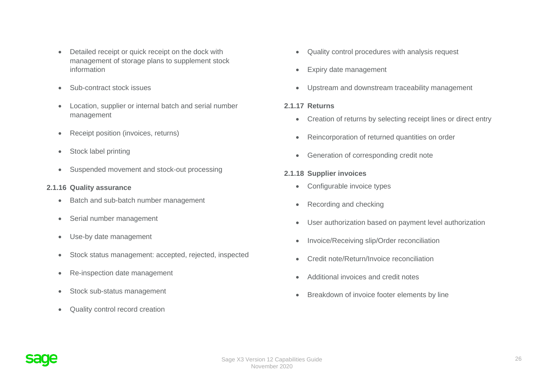- Detailed receipt or quick receipt on the dock with management of storage plans to supplement stock information
- Sub-contract stock issues
- Location, supplier or internal batch and serial number management
- Receipt position (invoices, returns)
- Stock label printing
- Suspended movement and stock-out processing

## **2.1.16 Quality assurance**

- Batch and sub-batch number management
- Serial number management
- Use-by date management
- Stock status management: accepted, rejected, inspected
- Re-inspection date management
- Stock sub-status management
- Quality control record creation
- Quality control procedures with analysis request
- Expiry date management
- Upstream and downstream traceability management

#### **2.1.17 Returns**

- Creation of returns by selecting receipt lines or direct entry
- Reincorporation of returned quantities on order
- Generation of corresponding credit note

## **2.1.18 Supplier invoices**

- Configurable invoice types
- Recording and checking
- User authorization based on payment level authorization
- Invoice/Receiving slip/Order reconciliation
- Credit note/Return/Invoice reconciliation
- Additional invoices and credit notes
- Breakdown of invoice footer elements by line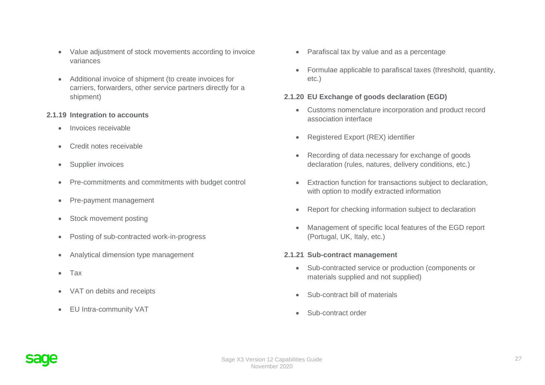- Value adjustment of stock movements according to invoice variances
- Additional invoice of shipment (to create invoices for carriers, forwarders, other service partners directly for a shipment)

#### **2.1.19 Integration to accounts**

- Invoices receivable
- Credit notes receivable
- Supplier invoices
- Pre-commitments and commitments with budget control
- Pre-payment management
- Stock movement posting
- Posting of sub-contracted work-in-progress
- Analytical dimension type management
- Tax
- VAT on debits and receipts
- EU Intra-community VAT
- Parafiscal tax by value and as a percentage
- Formulae applicable to parafiscal taxes (threshold, quantity, etc.)

## **2.1.20 EU Exchange of goods declaration (EGD)**

- Customs nomenclature incorporation and product record association interface
- Registered Export (REX) identifier
- Recording of data necessary for exchange of goods declaration (rules, natures, delivery conditions, etc.)
- Extraction function for transactions subject to declaration, with option to modify extracted information
- Report for checking information subject to declaration
- Management of specific local features of the EGD report (Portugal, UK, Italy, etc.)

## **2.1.21 Sub-contract management**

- Sub-contracted service or production (components or materials supplied and not supplied)
- Sub-contract bill of materials
- Sub-contract order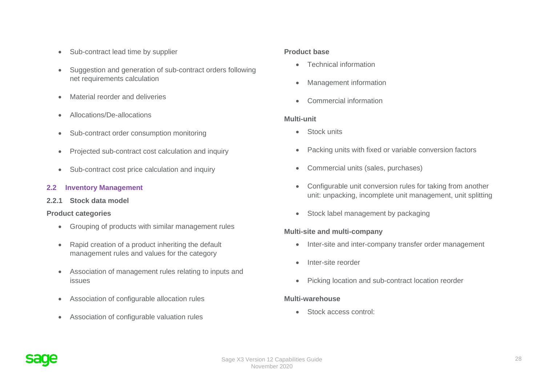- Sub-contract lead time by supplier
- Suggestion and generation of sub-contract orders following net requirements calculation
- Material reorder and deliveries
- Allocations/De-allocations
- Sub-contract order consumption monitoring
- Projected sub-contract cost calculation and inquiry
- Sub-contract cost price calculation and inquiry

## **2.2 Inventory Management**

**2.2.1 Stock data model**

## **Product categories**

- Grouping of products with similar management rules
- Rapid creation of a product inheriting the default management rules and values for the category
- Association of management rules relating to inputs and issues
- Association of configurable allocation rules
- Association of configurable valuation rules

### **Product base**

- Technical information
- Management information
- Commercial information

## **Multi-unit**

- Stock units
- Packing units with fixed or variable conversion factors
- Commercial units (sales, purchases)
- Configurable unit conversion rules for taking from another unit: unpacking, incomplete unit management, unit splitting
- Stock label management by packaging

## **Multi-site and multi-company**

- Inter-site and inter-company transfer order management
- Inter-site reorder
- Picking location and sub-contract location reorder

## **Multi-warehouse**

• Stock access control: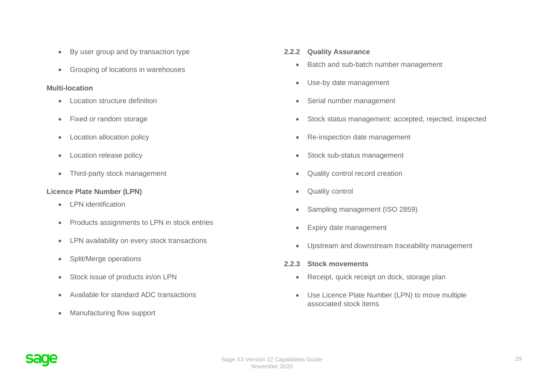- By user group and by transaction type
- Grouping of locations in warehouses

## **Multi-location**

- Location structure definition
- Fixed or random storage
- Location allocation policy
- Location release policy
- Third-party stock management

# **Licence Plate Number (LPN)**

- LPN identification
- Products assignments to LPN in stock entries
- LPN availability on every stock transactions
- Split/Merge operations
- Stock issue of products in/on LPN
- Available for standard ADC transactions
- Manufacturing flow support

# **2.2.2 Quality Assurance**

- Batch and sub-batch number management
- Use-by date management
- Serial number management
- Stock status management: accepted, rejected, inspected
- Re-inspection date management
- Stock sub-status management
- Quality control record creation
- Quality control
- Sampling management (ISO 2859)
- Expiry date management
- Upstream and downstream traceability management
- **2.2.3 Stock movements**
	- Receipt, quick receipt on dock, storage plan
	- Use Licence Plate Number (LPN) to move multiple associated stock items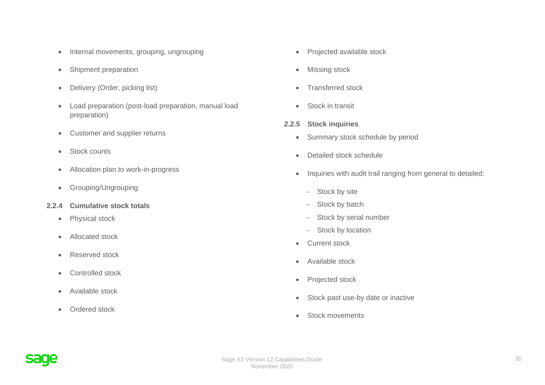- Internal movements, grouping, ungrouping
- Shipment preparation
- Delivery (Order, picking list)
- Load preparation (post-load preparation, manual load preparation)
- Customer and supplier returns
- Stock counts
- Allocation plan to work-in-progress
- Grouping/Ungrouping
- **2.2.4 Cumulative stock totals**
	- Physical stock
	- Allocated stock
	- Reserved stock
	- Controlled stock
	- Available stock
	- Ordered stock
- Projected available stock
- Missing stock
- Transferred stock
- Stock in transit
- **2.2.5 Stock inquiries**
	- Summary stock schedule by period
	- Detailed stock schedule
	- Inquiries with audit trail ranging from general to detailed:
		- − Stock by site
		- − Stock by batch
		- − Stock by serial number
		- − Stock by location
	- Current stock
	- Available stock
	- Projected stock
	- Stock past use-by date or inactive
	- Stock movements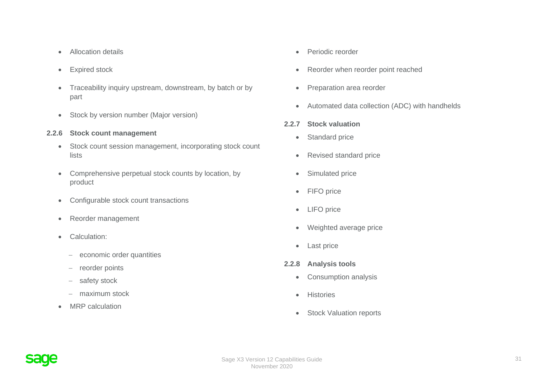- Allocation details
- Expired stock
- Traceability inquiry upstream, downstream, by batch or by part
- Stock by version number (Major version)
- **2.2.6 Stock count management**
	- Stock count session management, incorporating stock count lists
	- Comprehensive perpetual stock counts by location, by product
	- Configurable stock count transactions
	- Reorder management
	- Calculation:
		- − economic order quantities
		- − reorder points
		- − safety stock
		- − maximum stock
	- MRP calculation
- Periodic reorder
- Reorder when reorder point reached
- Preparation area reorder
- Automated data collection (ADC) with handhelds
- **2.2.7 Stock valuation**
	- Standard price
	- Revised standard price
	- Simulated price
	- FIFO price
	- LIFO price
	- Weighted average price
	- Last price
- **2.2.8 Analysis tools**
	- Consumption analysis
	- Histories
	- Stock Valuation reports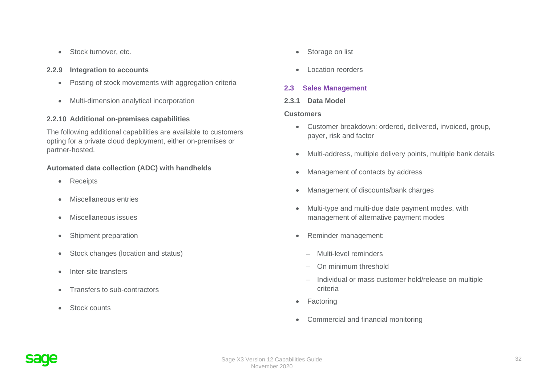• Stock turnover, etc.

#### **2.2.9 Integration to accounts**

- Posting of stock movements with aggregation criteria
- Multi-dimension analytical incorporation

#### **2.2.10 Additional on-premises capabilities**

The following additional capabilities are available to customers opting for a private cloud deployment, either on-premises or partner-hosted.

#### **Automated data collection (ADC) with handhelds**

- Receipts
- Miscellaneous entries
- Miscellaneous issues
- Shipment preparation
- Stock changes (location and status)
- Inter-site transfers
- Transfers to sub-contractors
- Stock counts
- Storage on list
- Location reorders

## **2.3 Sales Management**

#### **2.3.1 Data Model**

#### **Customers**

- Customer breakdown: ordered, delivered, invoiced, group, payer, risk and factor
- Multi-address, multiple delivery points, multiple bank details
- Management of contacts by address
- Management of discounts/bank charges
- Multi-type and multi-due date payment modes, with management of alternative payment modes
- Reminder management:
	- − Multi-level reminders
	- − On minimum threshold
	- − Individual or mass customer hold/release on multiple criteria
- Factoring
- Commercial and financial monitoring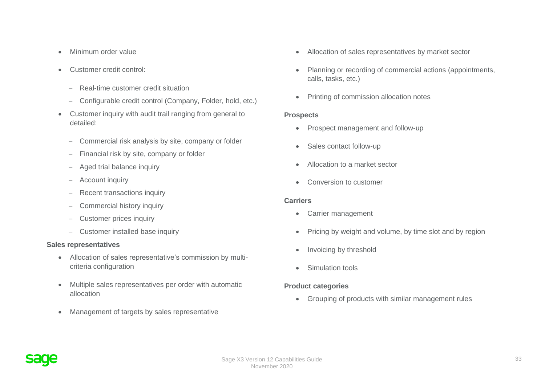- Minimum order value
- Customer credit control:
	- − Real-time customer credit situation
	- − Configurable credit control (Company, Folder, hold, etc.)
- Customer inquiry with audit trail ranging from general to detailed:
	- − Commercial risk analysis by site, company or folder
	- − Financial risk by site, company or folder
	- − Aged trial balance inquiry
	- − Account inquiry
	- − Recent transactions inquiry
	- − Commercial history inquiry
	- − Customer prices inquiry
	- − Customer installed base inquiry

## **Sales representatives**

- Allocation of sales representative's commission by multicriteria configuration
- Multiple sales representatives per order with automatic allocation
- Management of targets by sales representative
- Allocation of sales representatives by market sector
- Planning or recording of commercial actions (appointments, calls, tasks, etc.)
- Printing of commission allocation notes

#### **Prospects**

- Prospect management and follow-up
- Sales contact follow-up
- Allocation to a market sector
- Conversion to customer

#### **Carriers**

- Carrier management
- Pricing by weight and volume, by time slot and by region
- Invoicing by threshold
- Simulation tools

## **Product categories**

• Grouping of products with similar management rules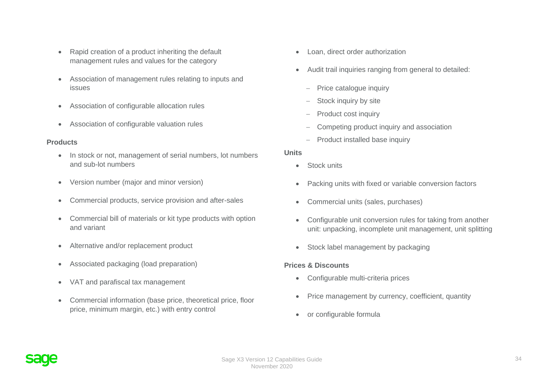- Rapid creation of a product inheriting the default management rules and values for the category
- Association of management rules relating to inputs and issues
- Association of configurable allocation rules
- Association of configurable valuation rules

## **Products**

- In stock or not, management of serial numbers, lot numbers and sub-lot numbers
- Version number (major and minor version)
- Commercial products, service provision and after-sales
- Commercial bill of materials or kit type products with option and variant
- Alternative and/or replacement product
- Associated packaging (load preparation)
- VAT and parafiscal tax management
- Commercial information (base price, theoretical price, floor price, minimum margin, etc.) with entry control
- Loan, direct order authorization
- Audit trail inquiries ranging from general to detailed:
	- − Price catalogue inquiry
	- Stock inquiry by site
	- Product cost inquiry
	- − Competing product inquiry and association
	- − Product installed base inquiry

#### **Units**

- Stock units
- Packing units with fixed or variable conversion factors
- Commercial units (sales, purchases)
- Configurable unit conversion rules for taking from another unit: unpacking, incomplete unit management, unit splitting
- Stock label management by packaging

## **Prices & Discounts**

- Configurable multi-criteria prices
- Price management by currency, coefficient, quantity
- or configurable formula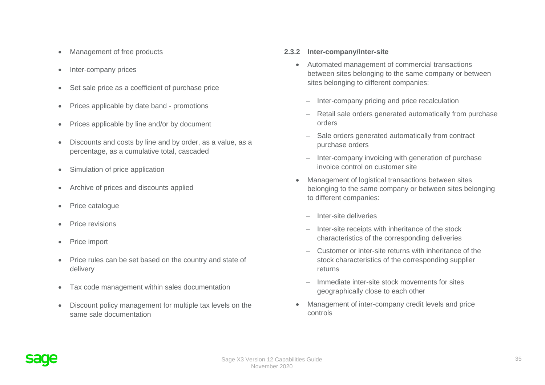- Management of free products
- Inter-company prices
- Set sale price as a coefficient of purchase price
- Prices applicable by date band promotions
- Prices applicable by line and/or by document
- Discounts and costs by line and by order, as a value, as a percentage, as a cumulative total, cascaded
- Simulation of price application
- Archive of prices and discounts applied
- Price catalogue
- Price revisions
- Price import
- Price rules can be set based on the country and state of delivery
- Tax code management within sales documentation
- Discount policy management for multiple tax levels on the same sale documentation

#### **2.3.2 Inter-company/Inter-site**

- Automated management of commercial transactions between sites belonging to the same company or between sites belonging to different companies:
	- − Inter-company pricing and price recalculation
	- Retail sale orders generated automatically from purchase orders
	- Sale orders generated automatically from contract purchase orders
	- − Inter-company invoicing with generation of purchase invoice control on customer site
- Management of logistical transactions between sites belonging to the same company or between sites belonging to different companies:
	- − Inter-site deliveries
	- − Inter-site receipts with inheritance of the stock characteristics of the corresponding deliveries
	- − Customer or inter-site returns with inheritance of the stock characteristics of the corresponding supplier returns
	- − Immediate inter-site stock movements for sites geographically close to each other
- Management of inter-company credit levels and price controls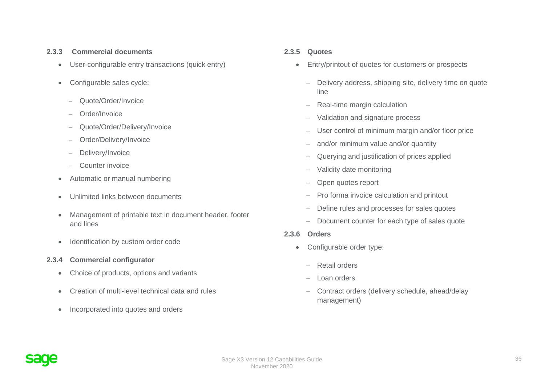#### **2.3.3 Commercial documents**

- User-configurable entry transactions (quick entry)
- Configurable sales cycle:
	- − Quote/Order/Invoice
	- − Order/Invoice
	- − Quote/Order/Delivery/Invoice
	- − Order/Delivery/Invoice
	- − Delivery/Invoice
	- − Counter invoice
- Automatic or manual numbering
- Unlimited links between documents
- Management of printable text in document header, footer and lines
- Identification by custom order code
- **2.3.4 Commercial configurator**
	- Choice of products, options and variants
	- Creation of multi-level technical data and rules
	- Incorporated into quotes and orders

## **2.3.5 Quotes**

- Entry/printout of quotes for customers or prospects
	- − Delivery address, shipping site, delivery time on quote line
	- − Real-time margin calculation
	- Validation and signature process
	- − User control of minimum margin and/or floor price
	- and/or minimum value and/or quantity
	- Querying and justification of prices applied
	- − Validity date monitoring
	- − Open quotes report
	- Pro forma invoice calculation and printout
	- Define rules and processes for sales quotes
	- − Document counter for each type of sales quote
- **2.3.6 Orders**
	- Configurable order type:
		- − Retail orders
		- − Loan orders
		- − Contract orders (delivery schedule, ahead/delay management)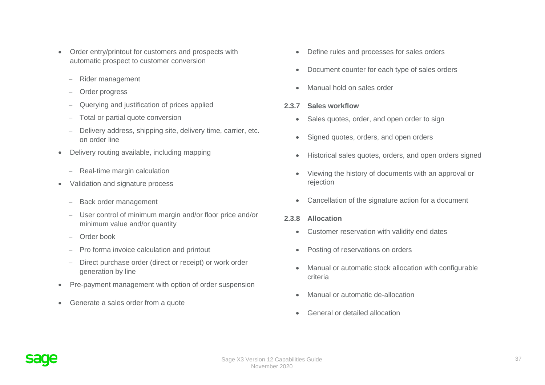- Order entry/printout for customers and prospects with automatic prospect to customer conversion
	- − Rider management
	- − Order progress
	- − Querying and justification of prices applied
	- − Total or partial quote conversion
	- − Delivery address, shipping site, delivery time, carrier, etc. on order line
- Delivery routing available, including mapping
	- − Real-time margin calculation
- Validation and signature process
	- − Back order management
	- − User control of minimum margin and/or floor price and/or minimum value and/or quantity
	- − Order book
	- − Pro forma invoice calculation and printout
	- − Direct purchase order (direct or receipt) or work order generation by line
- Pre-payment management with option of order suspension
- Generate a sales order from a quote
- Define rules and processes for sales orders
- Document counter for each type of sales orders
- Manual hold on sales order
- **2.3.7 Sales workflow**
	- Sales quotes, order, and open order to sign
	- Signed quotes, orders, and open orders
	- Historical sales quotes, orders, and open orders signed
	- Viewing the history of documents with an approval or rejection
	- Cancellation of the signature action for a document
- **2.3.8 Allocation**
	- Customer reservation with validity end dates
	- Posting of reservations on orders
	- Manual or automatic stock allocation with configurable criteria
	- Manual or automatic de-allocation
	- General or detailed allocation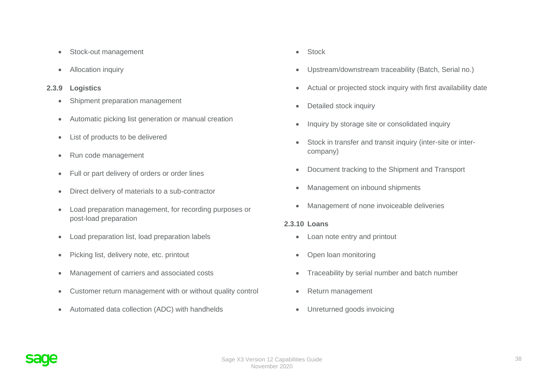- Stock-out management
- Allocation inquiry

### **2.3.9 Logistics**

- Shipment preparation management
- Automatic picking list generation or manual creation
- List of products to be delivered
- Run code management
- Full or part delivery of orders or order lines
- Direct delivery of materials to a sub-contractor
- Load preparation management, for recording purposes or post-load preparation
- Load preparation list, load preparation labels
- Picking list, delivery note, etc. printout
- Management of carriers and associated costs
- Customer return management with or without quality control
- Automated data collection (ADC) with handhelds
- Stock
- Upstream/downstream traceability (Batch, Serial no.)
- Actual or projected stock inquiry with first availability date
- Detailed stock inquiry
- Inquiry by storage site or consolidated inquiry
- Stock in transfer and transit inquiry (inter-site or intercompany)
- Document tracking to the Shipment and Transport
- Management on inbound shipments
- Management of none invoiceable deliveries

#### **2.3.10 Loans**

- Loan note entry and printout
- Open loan monitoring
- Traceability by serial number and batch number
- Return management
- Unreturned goods invoicing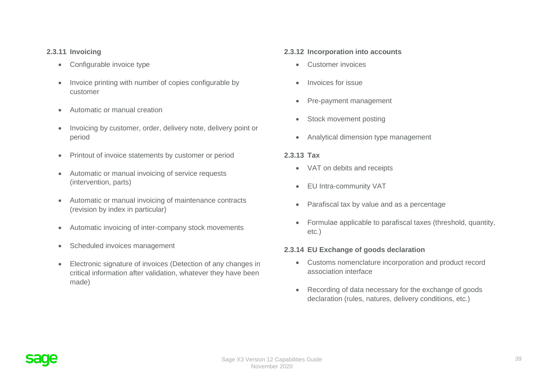## **2.3.11 Invoicing**

- Configurable invoice type
- Invoice printing with number of copies configurable by customer
- Automatic or manual creation
- Invoicing by customer, order, delivery note, delivery point or period
- Printout of invoice statements by customer or period
- Automatic or manual invoicing of service requests (intervention, parts)
- Automatic or manual invoicing of maintenance contracts (revision by index in particular)
- Automatic invoicing of inter-company stock movements
- Scheduled invoices management
- Electronic signature of invoices (Detection of any changes in critical information after validation, whatever they have been made)

## **2.3.12 Incorporation into accounts**

- Customer invoices
- Invoices for issue
- Pre-payment management
- Stock movement posting
- Analytical dimension type management

#### **2.3.13 Tax**

- VAT on debits and receipts
- EU Intra-community VAT
- Parafiscal tax by value and as a percentage
- Formulae applicable to parafiscal taxes (threshold, quantity, etc.)

## **2.3.14 EU Exchange of goods declaration**

- Customs nomenclature incorporation and product record association interface
- Recording of data necessary for the exchange of goods declaration (rules, natures, delivery conditions, etc.)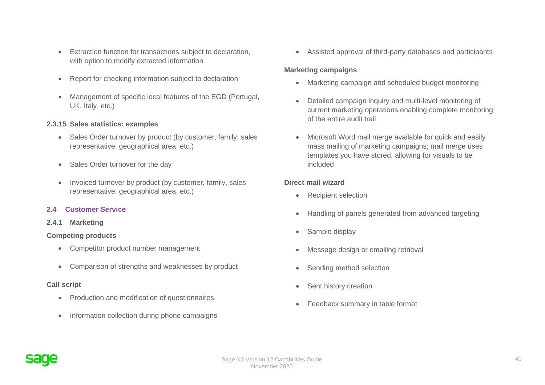- Extraction function for transactions subject to declaration, with option to modify extracted information
- Report for checking information subject to declaration
- Management of specific local features of the EGD (Portugal, UK, Italy, etc.)

## **2.3.15 Sales statistics: examples**

- Sales Order turnover by product (by customer, family, sales representative, geographical area, etc.)
- Sales Order turnover for the day
- Invoiced turnover by product (by customer, family, sales representative, geographical area, etc.)

## **2.4 Customer Service**

**2.4.1 Marketing**

## **Competing products**

- Competitor product number management
- Comparison of strengths and weaknesses by product

# **Call script**

- Production and modification of questionnaires
- Information collection during phone campaigns

• Assisted approval of third-party databases and participants

# **Marketing campaigns**

- Marketing campaign and scheduled budget monitoring
- Detailed campaign inquiry and multi-level monitoring of current marketing operations enabling complete monitoring of the entire audit trail
- Microsoft Word mail merge available for quick and easily mass mailing of marketing campaigns; mail merge uses templates you have stored, allowing for visuals to be included

# **Direct mail wizard**

- Recipient selection
- Handling of panels generated from advanced targeting
- Sample display
- Message design or emailing retrieval
- Sending method selection
- Sent history creation
- Feedback summary in table format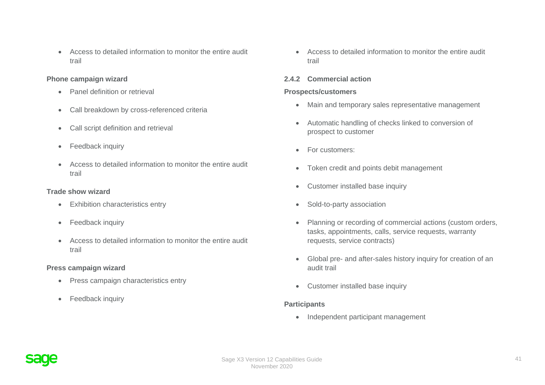• Access to detailed information to monitor the entire audit trail

#### **Phone campaign wizard**

- Panel definition or retrieval
- Call breakdown by cross-referenced criteria
- Call script definition and retrieval
- Feedback inquiry
- Access to detailed information to monitor the entire audit trail

#### **Trade show wizard**

- Exhibition characteristics entry
- Feedback inquiry
- Access to detailed information to monitor the entire audit trail

## **Press campaign wizard**

- Press campaign characteristics entry
- Feedback inquiry

• Access to detailed information to monitor the entire audit trail

## **2.4.2 Commercial action**

### **Prospects/customers**

- Main and temporary sales representative management
- Automatic handling of checks linked to conversion of prospect to customer
- For customers:
- Token credit and points debit management
- Customer installed base inquiry
- Sold-to-party association
- Planning or recording of commercial actions (custom orders, tasks, appointments, calls, service requests, warranty requests, service contracts)
- Global pre- and after-sales history inquiry for creation of an audit trail
- Customer installed base inquiry

## **Participants**

• Independent participant management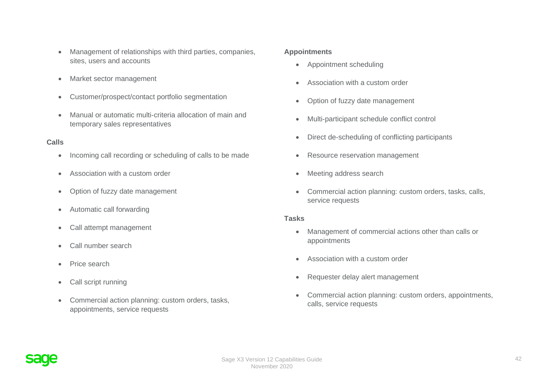- Management of relationships with third parties, companies, sites, users and accounts
- Market sector management
- Customer/prospect/contact portfolio segmentation
- Manual or automatic multi-criteria allocation of main and temporary sales representatives

## **Calls**

- Incoming call recording or scheduling of calls to be made
- Association with a custom order
- Option of fuzzy date management
- Automatic call forwarding
- Call attempt management
- Call number search
- Price search
- Call script running
- Commercial action planning: custom orders, tasks, appointments, service requests

#### **Appointments**

- Appointment scheduling
- Association with a custom order
- Option of fuzzy date management
- Multi-participant schedule conflict control
- Direct de-scheduling of conflicting participants
- Resource reservation management
- Meeting address search
- Commercial action planning: custom orders, tasks, calls, service requests

#### **Tasks**

- Management of commercial actions other than calls or appointments
- Association with a custom order
- Requester delay alert management
- Commercial action planning: custom orders, appointments, calls, service requests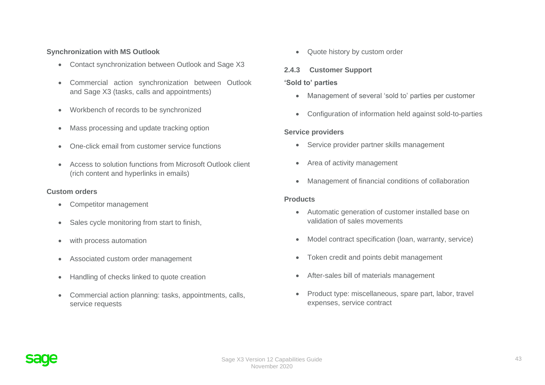### **Synchronization with MS Outlook**

- Contact synchronization between Outlook and Sage X3
- Commercial action synchronization between Outlook and Sage X3 (tasks, calls and appointments)
- Workbench of records to be synchronized
- Mass processing and update tracking option
- One-click email from customer service functions
- Access to solution functions from Microsoft Outlook client (rich content and hyperlinks in emails)

#### **Custom orders**

- Competitor management
- Sales cycle monitoring from start to finish,
- with process automation
- Associated custom order management
- Handling of checks linked to quote creation
- Commercial action planning: tasks, appointments, calls, service requests

• Quote history by custom order

# **2.4.3 Customer Support**

### **'Sold to' parties**

- Management of several 'sold to' parties per customer
- Configuration of information held against sold-to-parties

#### **Service providers**

- Service provider partner skills management
- Area of activity management
- Management of financial conditions of collaboration

#### **Products**

- Automatic generation of customer installed base on validation of sales movements
- Model contract specification (loan, warranty, service)
- Token credit and points debit management
- After-sales bill of materials management
- Product type: miscellaneous, spare part, labor, travel expenses, service contract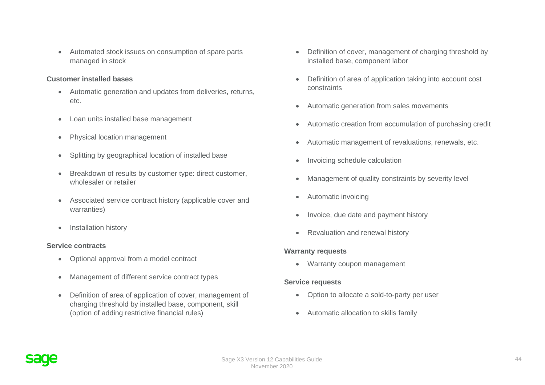• Automated stock issues on consumption of spare parts managed in stock

#### **Customer installed bases**

- Automatic generation and updates from deliveries, returns, etc.
- Loan units installed base management
- Physical location management
- Splitting by geographical location of installed base
- Breakdown of results by customer type: direct customer, wholesaler or retailer
- Associated service contract history (applicable cover and warranties)
- Installation history

#### **Service contracts**

- Optional approval from a model contract
- Management of different service contract types
- Definition of area of application of cover, management of charging threshold by installed base, component, skill (option of adding restrictive financial rules)
- Definition of cover, management of charging threshold by installed base, component labor
- Definition of area of application taking into account cost constraints
- Automatic generation from sales movements
- Automatic creation from accumulation of purchasing credit
- Automatic management of revaluations, renewals, etc.
- Invoicing schedule calculation
- Management of quality constraints by severity level
- Automatic invoicing
- Invoice, due date and payment history
- Revaluation and renewal history

## **Warranty requests**

• Warranty coupon management

#### **Service requests**

- Option to allocate a sold-to-party per user
- Automatic allocation to skills family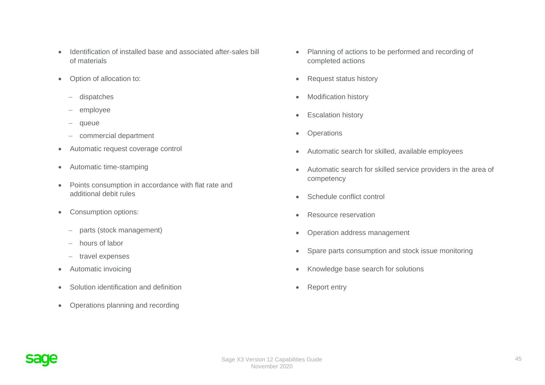- Identification of installed base and associated after-sales bill of materials
- Option of allocation to:
	- − dispatches
	- − employee
	- − queue
	- − commercial department
- Automatic request coverage control
- Automatic time-stamping
- Points consumption in accordance with flat rate and additional debit rules
- Consumption options:
	- − parts (stock management)
	- − hours of labor
	- − travel expenses
- Automatic invoicing
- Solution identification and definition
- Operations planning and recording
- Planning of actions to be performed and recording of completed actions
- Request status history
- Modification history
- Escalation history
- Operations
- Automatic search for skilled, available employees
- Automatic search for skilled service providers in the area of competency
- Schedule conflict control
- Resource reservation
- Operation address management
- Spare parts consumption and stock issue monitoring
- Knowledge base search for solutions
- Report entry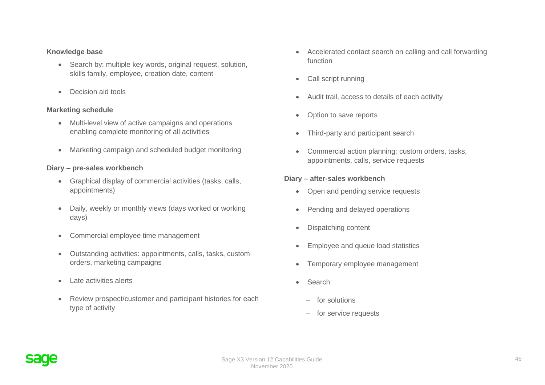#### **Knowledge base**

- Search by: multiple key words, original request, solution, skills family, employee, creation date, content
- Decision aid tools

## **Marketing schedule**

- Multi-level view of active campaigns and operations enabling complete monitoring of all activities
- Marketing campaign and scheduled budget monitoring

#### **Diary – pre-sales workbench**

- Graphical display of commercial activities (tasks, calls, appointments)
- Daily, weekly or monthly views (days worked or working days)
- Commercial employee time management
- Outstanding activities: appointments, calls, tasks, custom orders, marketing campaigns
- Late activities alerts
- Review prospect/customer and participant histories for each type of activity
- Accelerated contact search on calling and call forwarding function
- Call script running
- Audit trail, access to details of each activity
- Option to save reports
- Third-party and participant search
- Commercial action planning: custom orders, tasks, appointments, calls, service requests

#### **Diary – after-sales workbench**

- Open and pending service requests
- Pending and delayed operations
- Dispatching content
- Employee and queue load statistics
- Temporary employee management
- Search:
	- − for solutions
	- − for service requests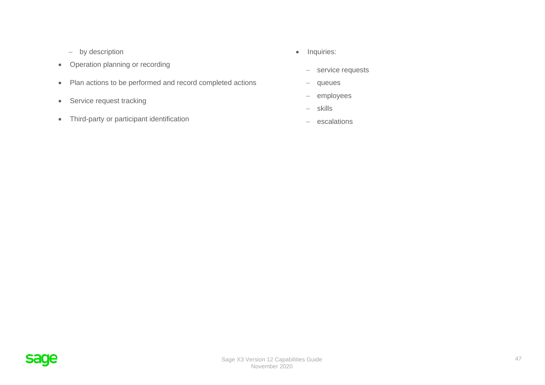- − by description
- Operation planning or recording
- Plan actions to be performed and record completed actions
- Service request tracking
- Third-party or participant identification
- Inquiries:
	- − service requests
	- − queues
	- − employees
	- − skills
	- − escalations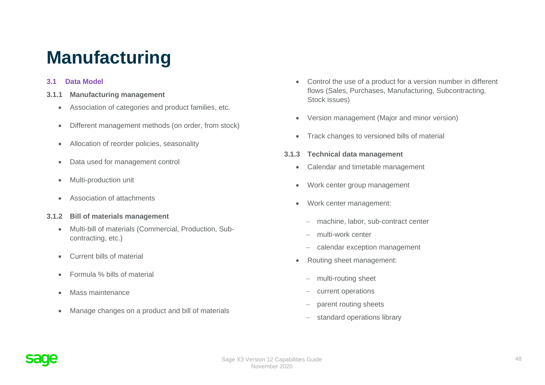# **Manufacturing**

## **3.1 Data Model**

- **3.1.1 Manufacturing management**
	- Association of categories and product families, etc.
	- Different management methods (on order, from stock)
	- Allocation of reorder policies, seasonality
	- Data used for management control
	- Multi-production unit
	- Association of attachments
- **3.1.2 Bill of materials management**
	- Multi-bill of materials (Commercial, Production, Subcontracting, etc.)
	- Current bills of material
	- Formula % bills of material
	- Mass maintenance
	- Manage changes on a product and bill of materials
- Control the use of a product for a version number in different flows (Sales, Purchases, Manufacturing, Subcontracting, Stock issues)
- Version management (Major and minor version)
- Track changes to versioned bills of material
- **3.1.3 Technical data management**
	- Calendar and timetable management
	- Work center group management
	- Work center management:
		- − machine, labor, sub-contract center
		- − multi-work center
		- − calendar exception management
	- Routing sheet management:
		- − multi-routing sheet
		- current operations
		- parent routing sheets
		- − standard operations library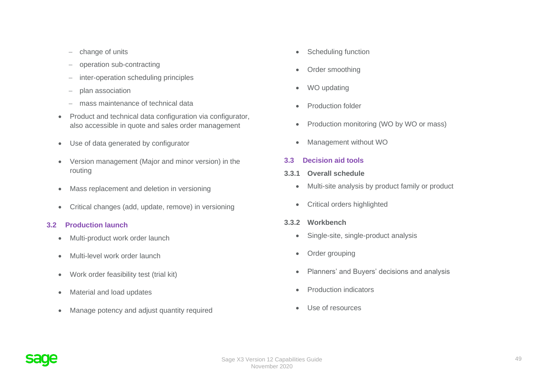- − change of units
- − operation sub-contracting
- − inter-operation scheduling principles
- − plan association
- mass maintenance of technical data
- Product and technical data configuration via configurator, also accessible in quote and sales order management
- Use of data generated by configurator
- Version management (Major and minor version) in the routing
- Mass replacement and deletion in versioning
- Critical changes (add, update, remove) in versioning

# **3.2 Production launch**

- Multi-product work order launch
- Multi-level work order launch
- Work order feasibility test (trial kit)
- Material and load updates
- Manage potency and adjust quantity required
- Scheduling function
- Order smoothing
- WO updating
- Production folder
- Production monitoring (WO by WO or mass)
- Management without WO

# **3.3 Decision aid tools**

- **3.3.1 Overall schedule**
	- Multi-site analysis by product family or product
	- Critical orders highlighted
- **3.3.2 Workbench**
	- Single-site, single-product analysis
	- Order grouping
	- Planners' and Buyers' decisions and analysis
	- Production indicators
	- Use of resources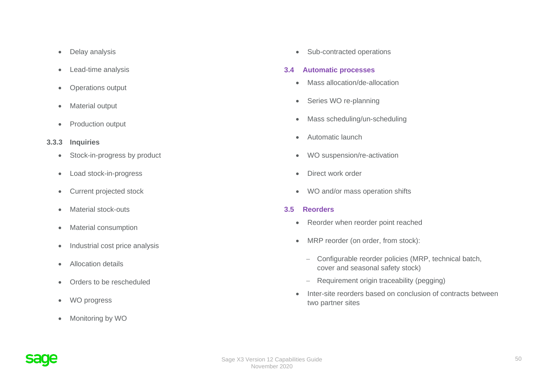- Delay analysis
- Lead-time analysis
- Operations output
- Material output
- Production output
- **3.3.3 Inquiries**
	- Stock-in-progress by product
	- Load stock-in-progress
	- Current projected stock
	- Material stock-outs
	- Material consumption
	- Industrial cost price analysis
	- Allocation details
	- Orders to be rescheduled
	- WO progress
	- Monitoring by WO

• Sub-contracted operations

#### **3.4 Automatic processes**

- Mass allocation/de-allocation
- Series WO re-planning
- Mass scheduling/un-scheduling
- Automatic launch
- WO suspension/re-activation
- Direct work order
- WO and/or mass operation shifts

## **3.5 Reorders**

- Reorder when reorder point reached
- MRP reorder (on order, from stock):
	- − Configurable reorder policies (MRP, technical batch, cover and seasonal safety stock)
	- − Requirement origin traceability (pegging)
- Inter-site reorders based on conclusion of contracts between two partner sites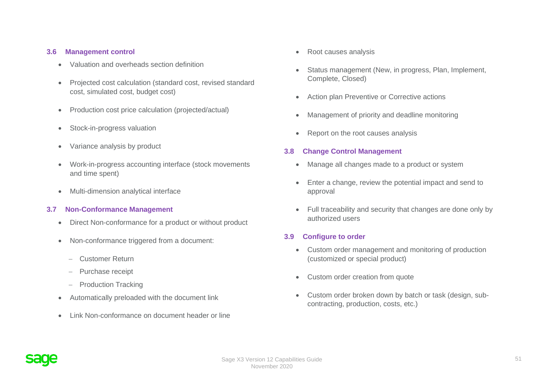#### **3.6 Management control**

- Valuation and overheads section definition
- Projected cost calculation (standard cost, revised standard cost, simulated cost, budget cost)
- Production cost price calculation (projected/actual)
- Stock-in-progress valuation
- Variance analysis by product
- Work-in-progress accounting interface (stock movements and time spent)
- Multi-dimension analytical interface

#### **3.7 Non-Conformance Management**

- Direct Non-conformance for a product or without product
- Non-conformance triggered from a document:
	- − Customer Return
	- − Purchase receipt
	- − Production Tracking
- Automatically preloaded with the document link
- Link Non-conformance on document header or line
- Root causes analysis
- Status management (New, in progress, Plan, Implement, Complete, Closed)
- Action plan Preventive or Corrective actions
- Management of priority and deadline monitoring
- Report on the root causes analysis

#### **3.8 Change Control Management**

- Manage all changes made to a product or system
- Enter a change, review the potential impact and send to approval
- Full traceability and security that changes are done only by authorized users

#### **3.9 Configure to order**

- Custom order management and monitoring of production (customized or special product)
- Custom order creation from quote
- Custom order broken down by batch or task (design, subcontracting, production, costs, etc.)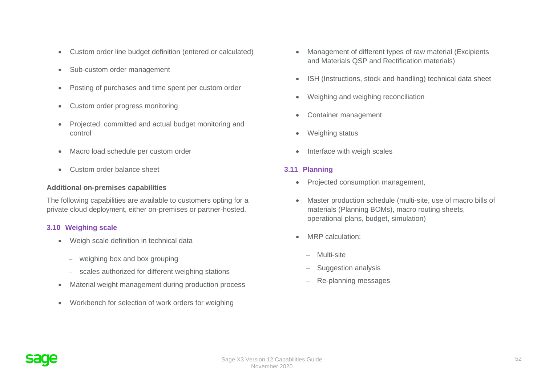- Custom order line budget definition (entered or calculated)
- Sub-custom order management
- Posting of purchases and time spent per custom order
- Custom order progress monitoring
- Projected, committed and actual budget monitoring and control
- Macro load schedule per custom order
- Custom order balance sheet

#### **Additional on-premises capabilities**

The following capabilities are available to customers opting for a private cloud deployment, either on-premises or partner-hosted.

#### **3.10 Weighing scale**

- Weigh scale definition in technical data
	- − weighing box and box grouping
	- − scales authorized for different weighing stations
- Material weight management during production process
- Workbench for selection of work orders for weighing
- Management of different types of raw material (Excipients and Materials QSP and Rectification materials)
- ISH (Instructions, stock and handling) technical data sheet
- Weighing and weighing reconciliation
- Container management
- Weighing status
- Interface with weigh scales

#### **3.11 Planning**

- Projected consumption management,
- Master production schedule (multi-site, use of macro bills of materials (Planning BOMs), macro routing sheets, operational plans, budget, simulation)
- MRP calculation:
	- − Multi-site
	- − Suggestion analysis
	- − Re-planning messages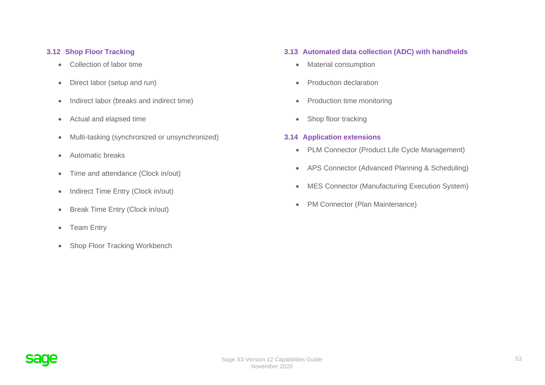### **3.12 Shop Floor Tracking**

- Collection of labor time
- Direct labor (setup and run)
- Indirect labor (breaks and indirect time)
- Actual and elapsed time
- Multi-tasking (synchronized or unsynchronized)
- Automatic breaks
- Time and attendance (Clock in/out)
- Indirect Time Entry (Clock in/out)
- Break Time Entry (Clock in/out)
- Team Entry
- Shop Floor Tracking Workbench

# **3.13 Automated data collection (ADC) with handhelds**

- Material consumption
- Production declaration
- Production time monitoring
- Shop floor tracking

#### **3.14 Application extensions**

- PLM Connector (Product Life Cycle Management)
- APS Connector (Advanced Planning & Scheduling)
- MES Connector (Manufacturing Execution System)
- PM Connector (Plan Maintenance)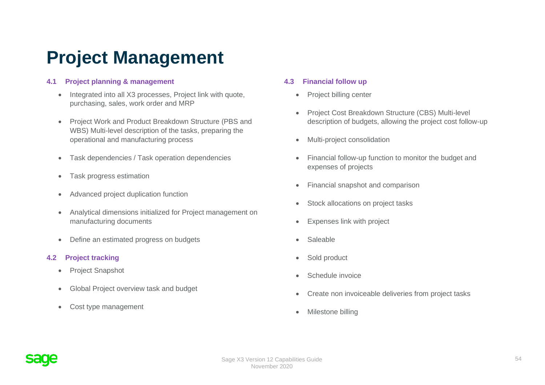# **Project Management**

# **4.1 Project planning & management**

- Integrated into all X3 processes, Project link with quote, purchasing, sales, work order and MRP
- Project Work and Product Breakdown Structure (PBS and WBS) Multi-level description of the tasks, preparing the operational and manufacturing process
- Task dependencies / Task operation dependencies
- Task progress estimation
- Advanced project duplication function
- Analytical dimensions initialized for Project management on manufacturing documents
- Define an estimated progress on budgets

# **4.2 Project tracking**

- Project Snapshot
- Global Project overview task and budget
- Cost type management

# **4.3 Financial follow up**

- Project billing center
- Project Cost Breakdown Structure (CBS) Multi-level description of budgets, allowing the project cost follow-up
- Multi-project consolidation
- Financial follow-up function to monitor the budget and expenses of projects
- Financial snapshot and comparison
- Stock allocations on project tasks
- Expenses link with project
- Saleable
- Sold product
- Schedule invoice
- Create non invoiceable deliveries from project tasks
- Milestone billing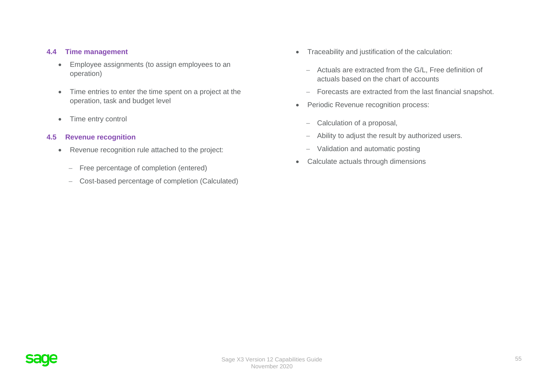#### **4.4 Time management**

- Employee assignments (to assign employees to an operation)
- Time entries to enter the time spent on a project at the operation, task and budget level
- Time entry control

#### **4.5 Revenue recognition**

- Revenue recognition rule attached to the project:
	- − Free percentage of completion (entered)
	- − Cost-based percentage of completion (Calculated)
- Traceability and justification of the calculation:
	- − Actuals are extracted from the G/L, Free definition of actuals based on the chart of accounts
	- − Forecasts are extracted from the last financial snapshot.
- Periodic Revenue recognition process:
	- − Calculation of a proposal,
	- − Ability to adjust the result by authorized users.
	- − Validation and automatic posting
- Calculate actuals through dimensions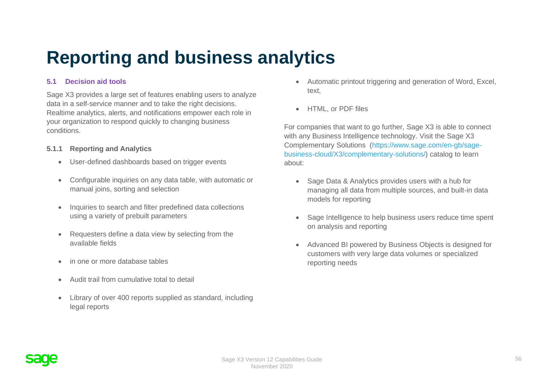# **Reporting and business analytics**

# **5.1 Decision aid tools**

Sage X3 provides a large set of features enabling users to analyze data in a self-service manner and to take the right decisions. Realtime analytics, alerts, and notifications empower each role in your organization to respond quickly to changing business conditions.

#### **5.1.1 Reporting and Analytics**

- User-defined dashboards based on trigger events
- Configurable inquiries on any data table, with automatic or manual joins, sorting and selection
- Inquiries to search and filter predefined data collections using a variety of prebuilt parameters
- Requesters define a data view by selecting from the available fields
- in one or more database tables
- Audit trail from cumulative total to detail
- Library of over 400 reports supplied as standard, including legal reports
- Automatic printout triggering and generation of Word, Excel, text,
- HTML, or PDF files

For companies that want to go further, Sage X3 is able to connect with any Business Intelligence technology. Visit the Sage X3 Complementary Solutions [\(https://www.sage.com/en-gb/sage](https://www.sage.com/en-gb/sage-business-cloud/X3/complementary-solutions/)[business-cloud/X3/complementary-solutions/\)](https://www.sage.com/en-gb/sage-business-cloud/X3/complementary-solutions/) catalog to learn about:

- Sage Data & Analytics provides users with a hub for managing all data from multiple sources, and built-in data models for reporting
- Sage Intelligence to help business users reduce time spent on analysis and reporting
- Advanced BI powered by Business Objects is designed for customers with very large data volumes or specialized reporting needs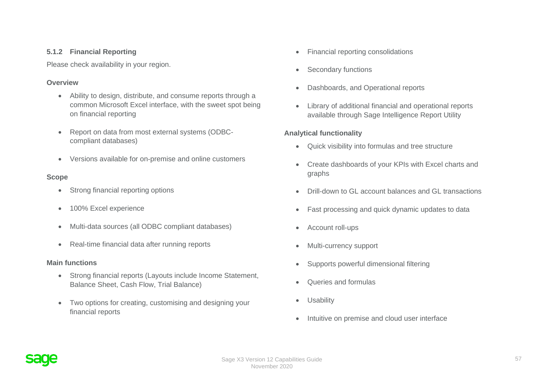#### **5.1.2 Financial Reporting**

Please check availability in your region.

#### **Overview**

- Ability to design, distribute, and consume reports through a common Microsoft Excel interface, with the sweet spot being on financial reporting
- Report on data from most external systems (ODBCcompliant databases)
- Versions available for on-premise and online customers

## **Scope**

- Strong financial reporting options
- 100% Excel experience
- Multi-data sources (all ODBC compliant databases)
- Real-time financial data after running reports

## **Main functions**

- Strong financial reports (Layouts include Income Statement, Balance Sheet, Cash Flow, Trial Balance)
- Two options for creating, customising and designing your financial reports
- Financial reporting consolidations
- Secondary functions
- Dashboards, and Operational reports
- Library of additional financial and operational reports available through Sage Intelligence Report Utility

## **Analytical functionality**

- Quick visibility into formulas and tree structure
- Create dashboards of your KPIs with Excel charts and graphs
- Drill-down to GL account balances and GL transactions
- Fast processing and quick dynamic updates to data
- Account roll-ups
- Multi-currency support
- Supports powerful dimensional filtering
- Queries and formulas
- Usability
- Intuitive on premise and cloud user interface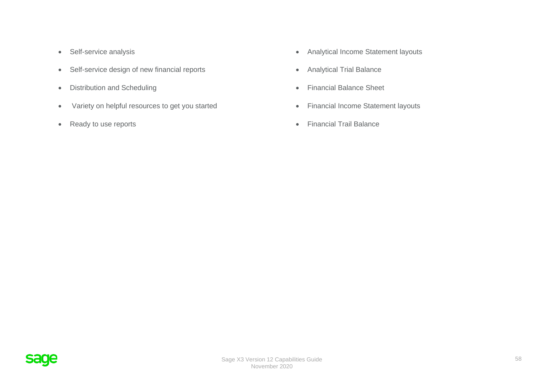- Self-service analysis
- Self-service design of new financial reports
- Distribution and Scheduling
- Variety on helpful resources to get you started
- Ready to use reports
- Analytical Income Statement layouts
- Analytical Trial Balance
- Financial Balance Sheet
- Financial Income Statement layouts
- Financial Trail Balance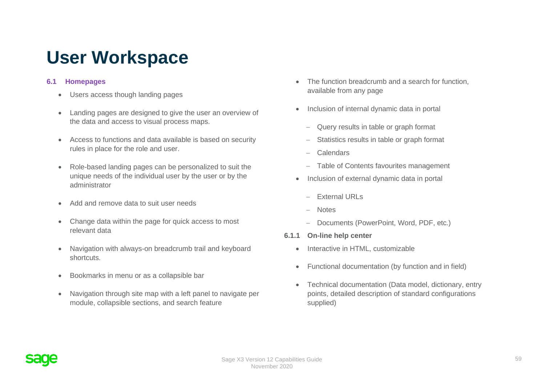# **User Workspace**

# **6.1 Homepages**

- Users access though landing pages
- Landing pages are designed to give the user an overview of the data and access to visual process maps.
- Access to functions and data available is based on security rules in place for the role and user.
- Role-based landing pages can be personalized to suit the unique needs of the individual user by the user or by the administrator
- Add and remove data to suit user needs
- Change data within the page for quick access to most relevant data
- Navigation with always-on breadcrumb trail and keyboard shortcuts.
- Bookmarks in menu or as a collapsible bar
- Navigation through site map with a left panel to navigate per module, collapsible sections, and search feature
- The function breadcrumb and a search for function, available from any page
- Inclusion of internal dynamic data in portal
	- − Query results in table or graph format
	- Statistics results in table or graph format
	- − Calendars
	- − Table of Contents favourites management
- Inclusion of external dynamic data in portal
	- − External URLs
	- − Notes
	- − Documents (PowerPoint, Word, PDF, etc.)
- **6.1.1 On-line help center**
	- Interactive in HTML, customizable
	- Functional documentation (by function and in field)
	- Technical documentation (Data model, dictionary, entry points, detailed description of standard configurations supplied)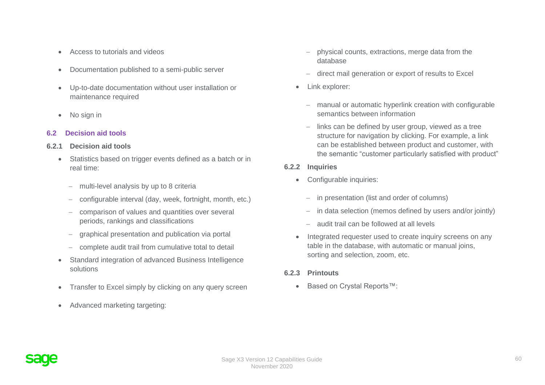- Access to tutorials and videos
- Documentation published to a semi-public server
- Up-to-date documentation without user installation or maintenance required
- No sign in

## **6.2 Decision aid tools**

## **6.2.1 Decision aid tools**

- Statistics based on trigger events defined as a batch or in real time:
	- − multi-level analysis by up to 8 criteria
	- − configurable interval (day, week, fortnight, month, etc.)
	- − comparison of values and quantities over several periods, rankings and classifications
	- − graphical presentation and publication via portal
	- − complete audit trail from cumulative total to detail
- Standard integration of advanced Business Intelligence solutions
- Transfer to Excel simply by clicking on any query screen
- Advanced marketing targeting:
- − physical counts, extractions, merge data from the database
- − direct mail generation or export of results to Excel
- Link explorer:
	- − manual or automatic hyperlink creation with configurable semantics between information
	- − links can be defined by user group, viewed as a tree structure for navigation by clicking. For example, a link can be established between product and customer, with the semantic "customer particularly satisfied with product"

# **6.2.2 Inquiries**

- Configurable inquiries:
	- − in presentation (list and order of columns)
	- − in data selection (memos defined by users and/or jointly)
	- − audit trail can be followed at all levels
- Integrated requester used to create inquiry screens on any table in the database, with automatic or manual joins, sorting and selection, zoom, etc.

# **6.2.3 Printouts**

• Based on Crystal Reports™: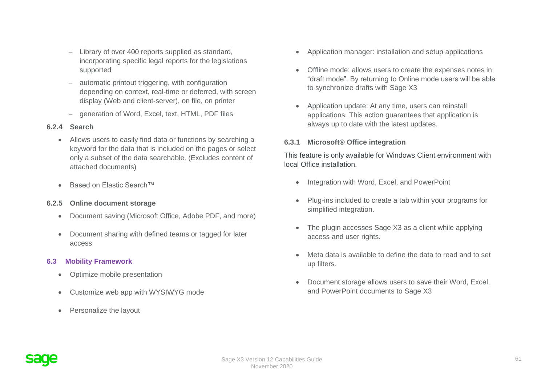- − Library of over 400 reports supplied as standard, incorporating specific legal reports for the legislations supported
- − automatic printout triggering, with configuration depending on context, real-time or deferred, with screen display (Web and client-server), on file, on printer
- − generation of Word, Excel, text, HTML, PDF files

## **6.2.4 Search**

- Allows users to easily find data or functions by searching a keyword for the data that is included on the pages or select only a subset of the data searchable. (Excludes content of attached documents)
- Based on Elastic Search™

# **6.2.5 Online document storage**

- Document saving (Microsoft Office, Adobe PDF, and more)
- Document sharing with defined teams or tagged for later access

# **6.3 Mobility Framework**

- Optimize mobile presentation
- Customize web app with WYSIWYG mode
- Personalize the layout
- Application manager: installation and setup applications
- Offline mode: allows users to create the expenses notes in "draft mode". By returning to Online mode users will be able to synchronize drafts with Sage X3
- Application update: At any time, users can reinstall applications. This action guarantees that application is always up to date with the latest updates.

## **6.3.1 Microsoft® Office integration**

This feature is only available for Windows Client environment with local Office installation.

- Integration with Word, Excel, and PowerPoint
- Plug-ins included to create a tab within your programs for simplified integration.
- The plugin accesses Sage X3 as a client while applying access and user rights.
- Meta data is available to define the data to read and to set up filters.
- Document storage allows users to save their Word, Excel, and PowerPoint documents to Sage X3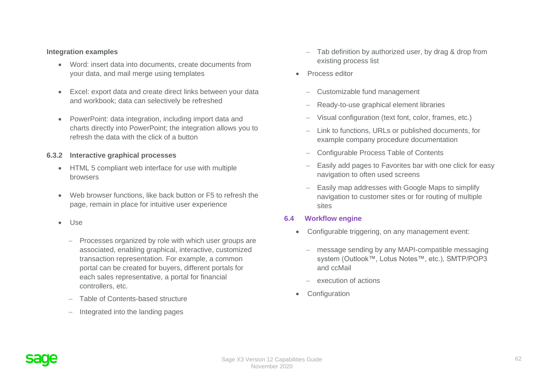#### **Integration examples**

- Word: insert data into documents, create documents from your data, and mail merge using templates
- Excel: export data and create direct links between your data and workbook; data can selectively be refreshed
- PowerPoint: data integration, including import data and charts directly into PowerPoint; the integration allows you to refresh the data with the click of a button

#### **6.3.2 Interactive graphical processes**

- HTML 5 compliant web interface for use with multiple browsers
- Web browser functions, like back button or F5 to refresh the page, remain in place for intuitive user experience
- Use
	- − Processes organized by role with which user groups are associated, enabling graphical, interactive, customized transaction representation. For example, a common portal can be created for buyers, different portals for each sales representative, a portal for financial controllers, etc.
	- − Table of Contents-based structure
	- − Integrated into the landing pages
- − Tab definition by authorized user, by drag & drop from existing process list
- Process editor
	- − Customizable fund management
	- Ready-to-use graphical element libraries
	- − Visual configuration (text font, color, frames, etc.)
	- − Link to functions, URLs or published documents, for example company procedure documentation
	- − Configurable Process Table of Contents
	- Easily add pages to Favorites bar with one click for easy navigation to often used screens
	- Easily map addresses with Google Maps to simplify navigation to customer sites or for routing of multiple sites

## **6.4 Workflow engine**

- Configurable triggering, on any management event:
	- message sending by any MAPI-compatible messaging system (Outlook™, Lotus Notes™, etc.), SMTP/POP3 and ccMail
	- − execution of actions
- **Configuration**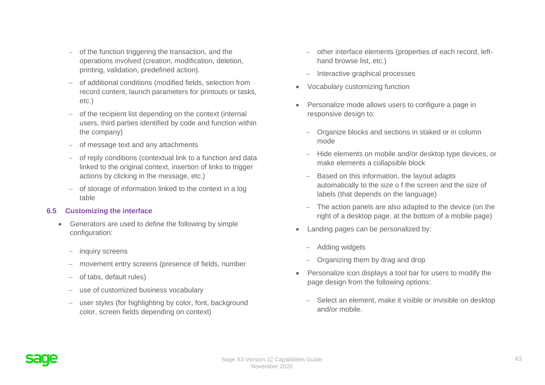- − of the function triggering the transaction, and the operations involved (creation, modification, deletion, printing, validation, predefined action).
- − of additional conditions (modified fields, selection from record content, launch parameters for printouts or tasks, etc.)
- − of the recipient list depending on the context (internal users, third parties identified by code and function within the company)
- − of message text and any attachments
- − of reply conditions (contextual link to a function and data linked to the original context, insertion of links to trigger actions by clicking in the message, etc.)
- − of storage of information linked to the context in a log table

# **6.5 Customizing the interface**

- Generators are used to define the following by simple configuration:
	- − inquiry screens
	- − movement entry screens (presence of fields, number
	- − of tabs, default rules)
	- − use of customized business vocabulary
	- user styles (for highlighting by color, font, background color, screen fields depending on context)
- − other interface elements (properties of each record, lefthand browse list, etc.)
- − Interactive graphical processes
- Vocabulary customizing function
- Personalize mode allows users to configure a page in responsive design to:
	- − Organize blocks and sections in staked or in column mode
	- − Hide elements on mobile and/or desktop type devices, or make elements a collapsible block
	- Based on this information, the layout adapts automatically to the size o f the screen and the size of labels (that depends on the language)
	- − The action panels are also adapted to the device (on the right of a desktop page, at the bottom of a mobile page)
- Landing pages can be personalized by:
	- − Adding widgets
	- − Organizing them by drag and drop
- Personalize icon displays a tool bar for users to modify the page design from the following options:
	- − Select an element, make it visible or invisible on desktop and/or mobile.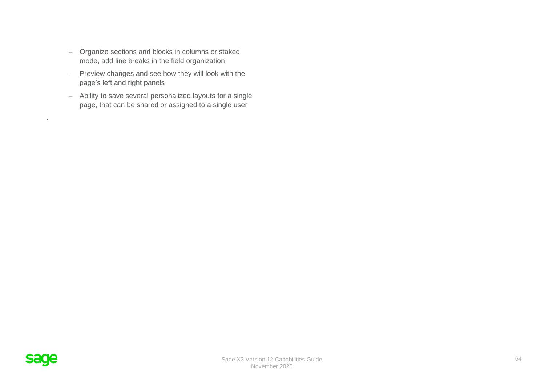- − Organize sections and blocks in columns or staked mode, add line breaks in the field organization
- − Preview changes and see how they will look with the page's left and right panels
- − Ability to save several personalized layouts for a single page, that can be shared or assigned to a single user



.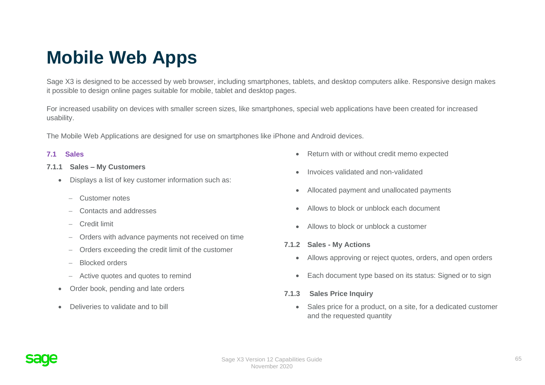# **Mobile Web Apps**

Sage X3 is designed to be accessed by web browser, including smartphones, tablets, and desktop computers alike. Responsive design makes it possible to design online pages suitable for mobile, tablet and desktop pages.

For increased usability on devices with smaller screen sizes, like smartphones, special web applications have been created for increased usability.

The Mobile Web Applications are designed for use on smartphones like iPhone and Android devices.

#### **7.1 Sales**

- **7.1.1 Sales – My Customers**
	- Displays a list of key customer information such as:
		- − Customer notes
		- − Contacts and addresses
		- − Credit limit
		- − Orders with advance payments not received on time
		- − Orders exceeding the credit limit of the customer
		- − Blocked orders
		- − Active quotes and quotes to remind
	- Order book, pending and late orders
	- Deliveries to validate and to bill
- Return with or without credit memo expected
- Invoices validated and non-validated
- Allocated payment and unallocated payments
- Allows to block or unblock each document
- Allows to block or unblock a customer
- **7.1.2 Sales - My Actions**
	- Allows approving or reject quotes, orders, and open orders
	- Each document type based on its status: Signed or to sign

# **7.1.3 Sales Price Inquiry**

• Sales price for a product, on a site, for a dedicated customer and the requested quantity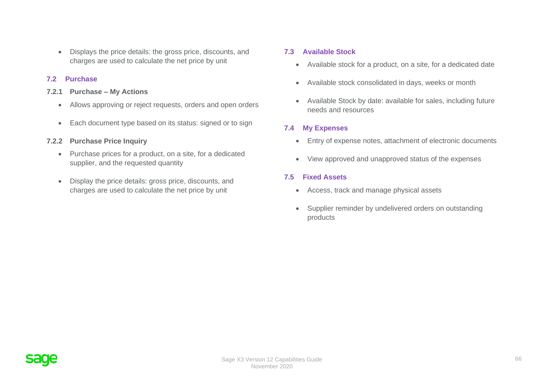• Displays the price details: the gross price, discounts, and charges are used to calculate the net price by unit

#### **7.2 Purchase**

- **7.2.1 Purchase – My Actions**
	- Allows approving or reject requests, orders and open orders
	- Each document type based on its status: signed or to sign

#### **7.2.2 Purchase Price Inquiry**

- Purchase prices for a product, on a site, for a dedicated supplier, and the requested quantity
- Display the price details: gross price, discounts, and charges are used to calculate the net price by unit

#### **7.3 Available Stock**

- Available stock for a product, on a site, for a dedicated date
- Available stock consolidated in days, weeks or month
- Available Stock by date: available for sales, including future needs and resources

#### **7.4 My Expenses**

- Entry of expense notes, attachment of electronic documents
- View approved and unapproved status of the expenses

#### **7.5 Fixed Assets**

- Access, track and manage physical assets
- Supplier reminder by undelivered orders on outstanding products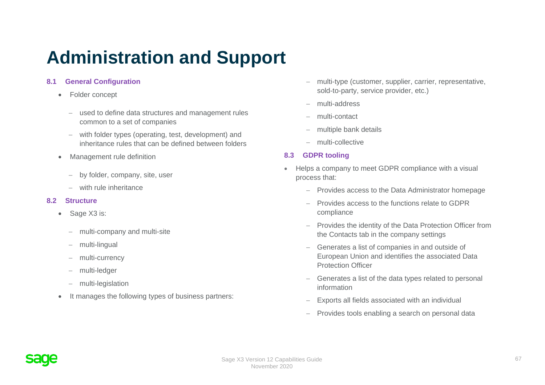# **Administration and Support**

# **8.1 General Configuration**

- Folder concept
	- − used to define data structures and management rules common to a set of companies
	- − with folder types (operating, test, development) and inheritance rules that can be defined between folders
- Management rule definition
	- − by folder, company, site, user
	- − with rule inheritance

## **8.2 Structure**

- Sage X3 is:
	- − multi-company and multi-site
	- − multi-lingual
	- − multi-currency
	- − multi-ledger
	- − multi-legislation
- It manages the following types of business partners:
- − multi-type (customer, supplier, carrier, representative, sold-to-party, service provider, etc.)
- − multi-address
- − multi-contact
- − multiple bank details
- − multi-collective

# **8.3 GDPR tooling**

- Helps a company to meet GDPR compliance with a visual process that:
	- − Provides access to the Data Administrator homepage
	- − Provides access to the functions relate to GDPR compliance
	- − Provides the identity of the Data Protection Officer from the Contacts tab in the company settings
	- − Generates a list of companies in and outside of European Union and identifies the associated Data Protection Officer
	- − Generates a list of the data types related to personal information
	- Exports all fields associated with an individual
	- − Provides tools enabling a search on personal data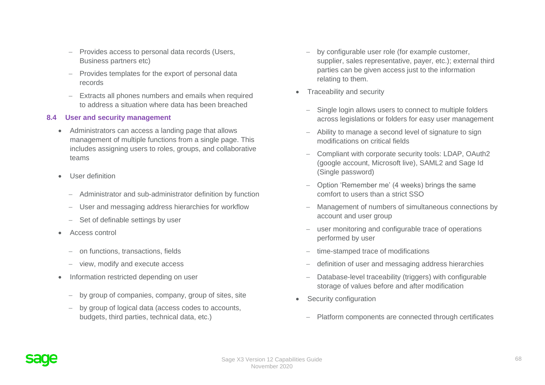- − Provides access to personal data records (Users, Business partners etc)
- − Provides templates for the export of personal data records
- − Extracts all phones numbers and emails when required to address a situation where data has been breached

## **8.4 User and security management**

- Administrators can access a landing page that allows management of multiple functions from a single page. This includes assigning users to roles, groups, and collaborative teams
- User definition
	- − Administrator and sub-administrator definition by function
	- − User and messaging address hierarchies for workflow
	- − Set of definable settings by user
- Access control
	- − on functions, transactions, fields
	- − view, modify and execute access
- Information restricted depending on user
	- − by group of companies, company, group of sites, site
	- by group of logical data (access codes to accounts, budgets, third parties, technical data, etc.)
- − by configurable user role (for example customer, supplier, sales representative, payer, etc.); external third parties can be given access just to the information relating to them.
- Traceability and security
	- Single login allows users to connect to multiple folders across legislations or folders for easy user management
	- − Ability to manage a second level of signature to sign modifications on critical fields
	- − Compliant with corporate security tools: LDAP, OAuth2 (google account, Microsoft live), SAML2 and Sage Id (Single password)
	- − Option 'Remember me' (4 weeks) brings the same comfort to users than a strict SSO
	- Management of numbers of simultaneous connections by account and user group
	- user monitoring and configurable trace of operations performed by user
	- time-stamped trace of modifications
	- − definition of user and messaging address hierarchies
	- Database-level traceability (triggers) with configurable storage of values before and after modification
- Security configuration
	- − Platform components are connected through certificates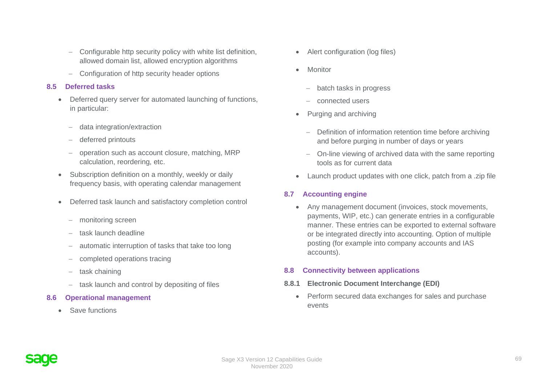- − Configurable http security policy with white list definition, allowed domain list, allowed encryption algorithms
- − Configuration of http security header options

## **8.5 Deferred tasks**

- Deferred query server for automated launching of functions, in particular:
	- − data integration/extraction
	- − deferred printouts
	- − operation such as account closure, matching, MRP calculation, reordering, etc.
- Subscription definition on a monthly, weekly or daily frequency basis, with operating calendar management
- Deferred task launch and satisfactory completion control
	- − monitoring screen
	- task launch deadline
	- automatic interruption of tasks that take too long
	- − completed operations tracing
	- − task chaining
	- − task launch and control by depositing of files
- **8.6 Operational management**
	- Save functions
- Alert configuration (log files)
- Monitor
	- − batch tasks in progress
	- − connected users
- Purging and archiving
	- − Definition of information retention time before archiving and before purging in number of days or years
	- − On-line viewing of archived data with the same reporting tools as for current data
- Launch product updates with one click, patch from a .zip file

# **8.7 Accounting engine**

• Any management document (invoices, stock movements, payments, WIP, etc.) can generate entries in a configurable manner. These entries can be exported to external software or be integrated directly into accounting. Option of multiple posting (for example into company accounts and IAS accounts).

# **8.8 Connectivity between applications**

- **8.8.1 Electronic Document Interchange (EDI)**
	- Perform secured data exchanges for sales and purchase events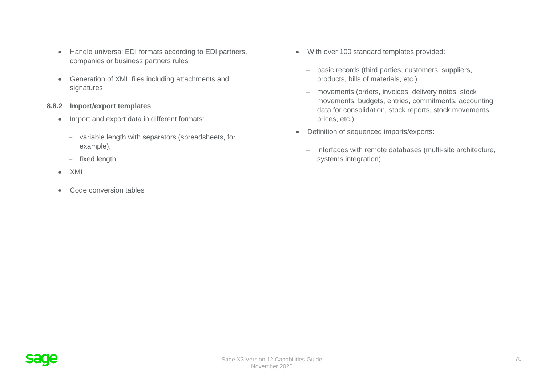- Handle universal EDI formats according to EDI partners, companies or business partners rules
- Generation of XML files including attachments and signatures

#### **8.8.2 Import/export templates**

- Import and export data in different formats:
	- − variable length with separators (spreadsheets, for example),
	- − fixed length
- XML
- Code conversion tables
- With over 100 standard templates provided:
	- − basic records (third parties, customers, suppliers, products, bills of materials, etc.)
	- − movements (orders, invoices, delivery notes, stock movements, budgets, entries, commitments, accounting data for consolidation, stock reports, stock movements, prices, etc.)
- Definition of sequenced imports/exports:
	- − interfaces with remote databases (multi-site architecture, systems integration)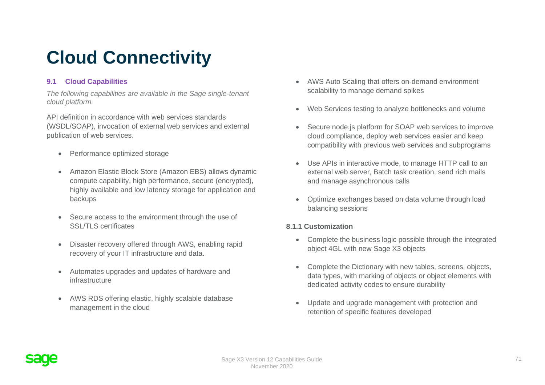# **Cloud Connectivity**

# **9.1 Cloud Capabilities**

*The following capabilities are available in the Sage single-tenant cloud platform.*

API definition in accordance with web services standards (WSDL/SOAP), invocation of external web services and external publication of web services.

- Performance optimized storage
- Amazon Elastic Block Store (Amazon EBS) allows dynamic compute capability, high performance, secure (encrypted), highly available and low latency storage for application and backups
- Secure access to the environment through the use of SSL/TLS certificates
- Disaster recovery offered through AWS, enabling rapid recovery of your IT infrastructure and data.
- Automates upgrades and updates of hardware and infrastructure
- AWS RDS offering elastic, highly scalable database management in the cloud
- AWS Auto Scaling that offers on-demand environment scalability to manage demand spikes
- Web Services testing to analyze bottlenecks and volume
- Secure node.js platform for SOAP web services to improve cloud compliance, deploy web services easier and keep compatibility with previous web services and subprograms
- Use APIs in interactive mode, to manage HTTP call to an external web server, Batch task creation, send rich mails and manage asynchronous calls
- Optimize exchanges based on data volume through load balancing sessions

# **8.1.1 Customization**

- Complete the business logic possible through the integrated object 4GL with new Sage X3 objects
- Complete the Dictionary with new tables, screens, objects, data types, with marking of objects or object elements with dedicated activity codes to ensure durability
- Update and upgrade management with protection and retention of specific features developed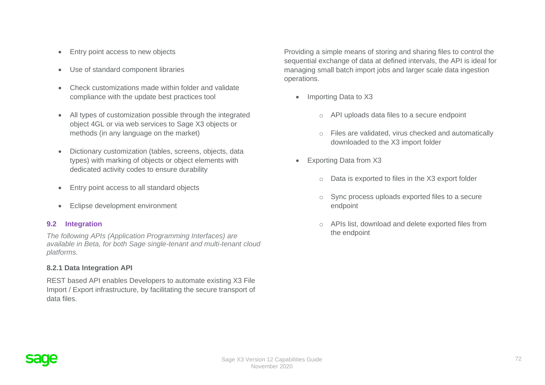- Entry point access to new objects
- Use of standard component libraries
- Check customizations made within folder and validate compliance with the update best practices tool
- All types of customization possible through the integrated object 4GL or via web services to Sage X3 objects or methods (in any language on the market)
- Dictionary customization (tables, screens, objects, data types) with marking of objects or object elements with dedicated activity codes to ensure durability
- Entry point access to all standard objects
- Eclipse development environment

## **9.2 Integration**

*The following APIs (Application Programming Interfaces) are available in Beta, for both Sage single-tenant and multi-tenant cloud platforms.*

#### **8.2.1 Data Integration API**

REST based API enables Developers to automate existing X3 File Import / Export infrastructure, by facilitating the secure transport of data files.

Providing a simple means of storing and sharing files to control the sequential exchange of data at defined intervals, the API is ideal for managing small batch import jobs and larger scale data ingestion operations.

- Importing Data to X3
	- o API uploads data files to a secure endpoint
	- o Files are validated, virus checked and automatically downloaded to the X3 import folder
- Exporting Data from X3
	- o Data is exported to files in the X3 export folder
	- o Sync process uploads exported files to a secure endpoint
	- o APIs list, download and delete exported files from the endpoint